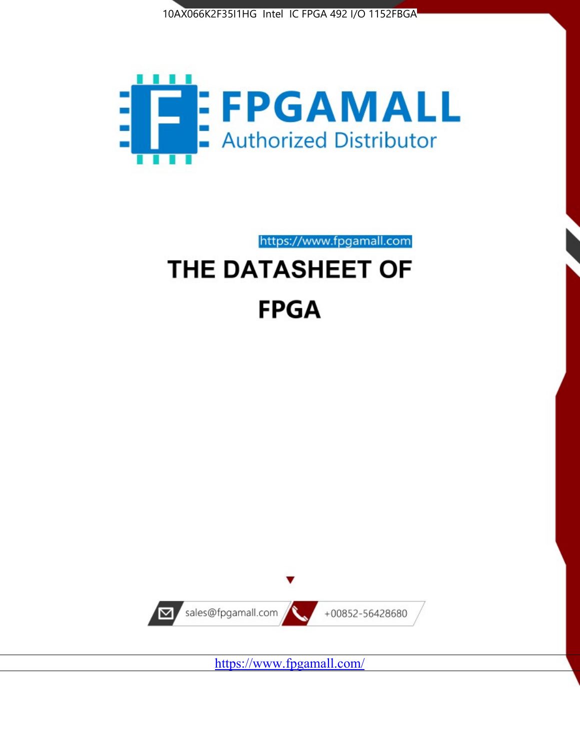



https://www.fpgamall.com THE DATASHEET OF

# **FPGA**



<https://www.fpgamall.com/>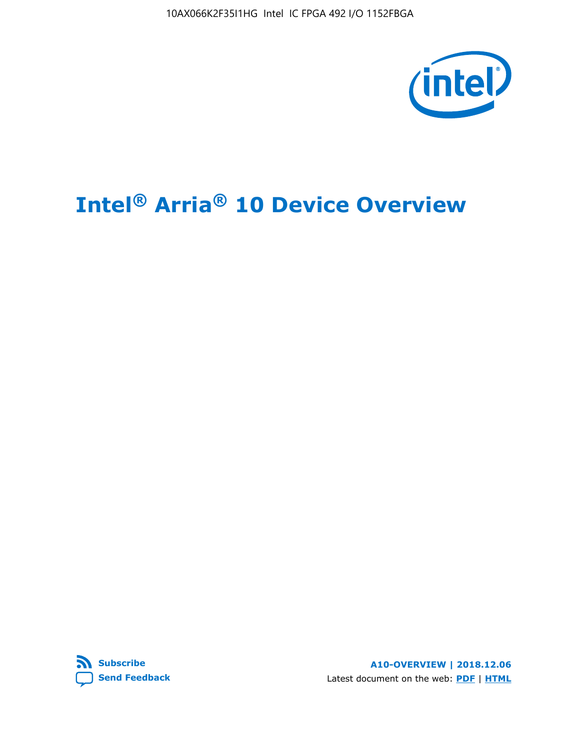

# **Intel® Arria® 10 Device Overview**



**A10-OVERVIEW | 2018.12.06** Latest document on the web: **[PDF](https://www.intel.com/content/dam/www/programmable/us/en/pdfs/literature/hb/arria-10/a10_overview.pdf)** | **[HTML](https://www.intel.com/content/www/us/en/programmable/documentation/sam1403480274650.html)**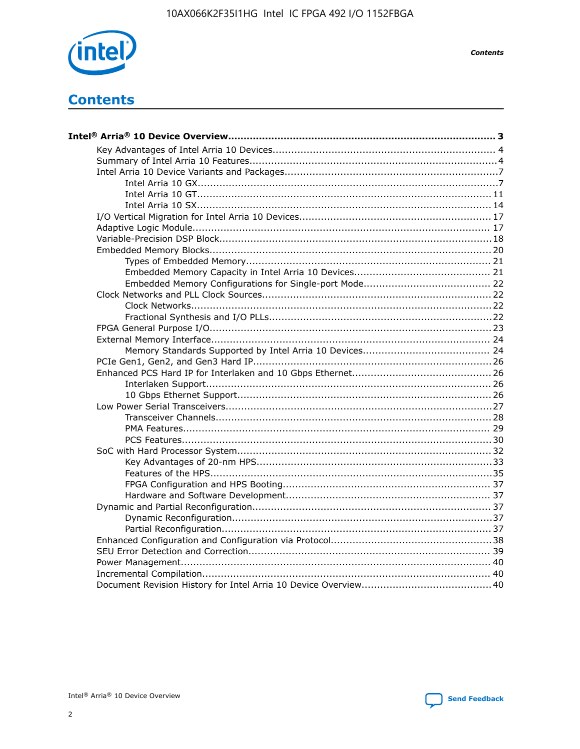

**Contents** 

# **Contents**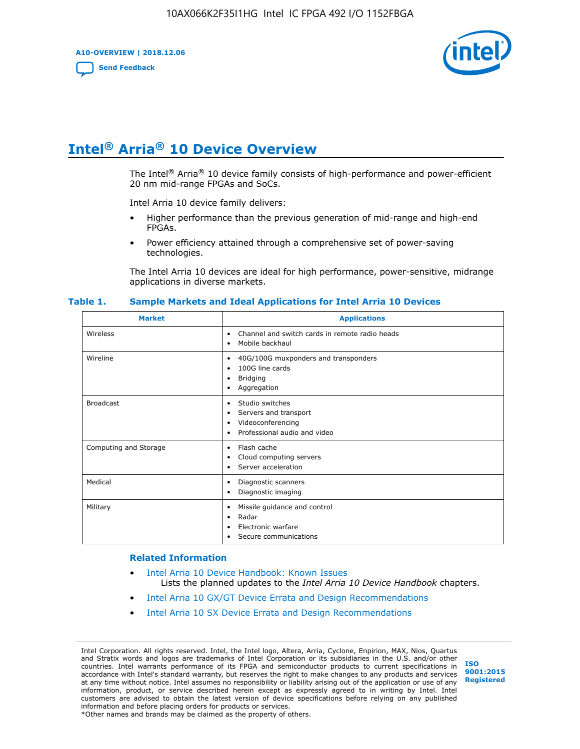**A10-OVERVIEW | 2018.12.06**

**[Send Feedback](mailto:FPGAtechdocfeedback@intel.com?subject=Feedback%20on%20Intel%20Arria%2010%20Device%20Overview%20(A10-OVERVIEW%202018.12.06)&body=We%20appreciate%20your%20feedback.%20In%20your%20comments,%20also%20specify%20the%20page%20number%20or%20paragraph.%20Thank%20you.)**



# **Intel® Arria® 10 Device Overview**

The Intel<sup>®</sup> Arria<sup>®</sup> 10 device family consists of high-performance and power-efficient 20 nm mid-range FPGAs and SoCs.

Intel Arria 10 device family delivers:

- Higher performance than the previous generation of mid-range and high-end FPGAs.
- Power efficiency attained through a comprehensive set of power-saving technologies.

The Intel Arria 10 devices are ideal for high performance, power-sensitive, midrange applications in diverse markets.

| <b>Market</b>         | <b>Applications</b>                                                                                               |
|-----------------------|-------------------------------------------------------------------------------------------------------------------|
| Wireless              | Channel and switch cards in remote radio heads<br>٠<br>Mobile backhaul<br>٠                                       |
| Wireline              | 40G/100G muxponders and transponders<br>٠<br>100G line cards<br>٠<br><b>Bridging</b><br>٠<br>Aggregation<br>٠     |
| <b>Broadcast</b>      | Studio switches<br>٠<br>Servers and transport<br>٠<br>Videoconferencing<br>٠<br>Professional audio and video<br>٠ |
| Computing and Storage | Flash cache<br>٠<br>Cloud computing servers<br>٠<br>Server acceleration<br>٠                                      |
| Medical               | Diagnostic scanners<br>٠<br>Diagnostic imaging<br>٠                                                               |
| Military              | Missile guidance and control<br>٠<br>Radar<br>٠<br>Electronic warfare<br>٠<br>Secure communications<br>٠          |

#### **Table 1. Sample Markets and Ideal Applications for Intel Arria 10 Devices**

#### **Related Information**

- [Intel Arria 10 Device Handbook: Known Issues](http://www.altera.com/support/kdb/solutions/rd07302013_646.html) Lists the planned updates to the *Intel Arria 10 Device Handbook* chapters.
- [Intel Arria 10 GX/GT Device Errata and Design Recommendations](https://www.intel.com/content/www/us/en/programmable/documentation/agz1493851706374.html#yqz1494433888646)
- [Intel Arria 10 SX Device Errata and Design Recommendations](https://www.intel.com/content/www/us/en/programmable/documentation/cru1462832385668.html#cru1462832558642)

Intel Corporation. All rights reserved. Intel, the Intel logo, Altera, Arria, Cyclone, Enpirion, MAX, Nios, Quartus and Stratix words and logos are trademarks of Intel Corporation or its subsidiaries in the U.S. and/or other countries. Intel warrants performance of its FPGA and semiconductor products to current specifications in accordance with Intel's standard warranty, but reserves the right to make changes to any products and services at any time without notice. Intel assumes no responsibility or liability arising out of the application or use of any information, product, or service described herein except as expressly agreed to in writing by Intel. Intel customers are advised to obtain the latest version of device specifications before relying on any published information and before placing orders for products or services. \*Other names and brands may be claimed as the property of others.

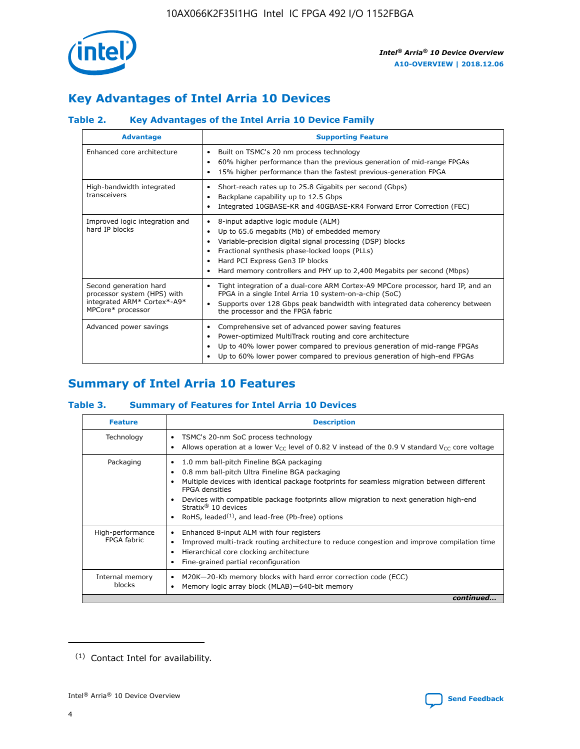

# **Key Advantages of Intel Arria 10 Devices**

## **Table 2. Key Advantages of the Intel Arria 10 Device Family**

| <b>Advantage</b>                                                                                          | <b>Supporting Feature</b>                                                                                                                                                                                                                                                                                                     |
|-----------------------------------------------------------------------------------------------------------|-------------------------------------------------------------------------------------------------------------------------------------------------------------------------------------------------------------------------------------------------------------------------------------------------------------------------------|
| Enhanced core architecture                                                                                | Built on TSMC's 20 nm process technology<br>٠<br>60% higher performance than the previous generation of mid-range FPGAs<br>٠<br>15% higher performance than the fastest previous-generation FPGA<br>٠                                                                                                                         |
| High-bandwidth integrated<br>transceivers                                                                 | Short-reach rates up to 25.8 Gigabits per second (Gbps)<br>٠<br>Backplane capability up to 12.5 Gbps<br>٠<br>Integrated 10GBASE-KR and 40GBASE-KR4 Forward Error Correction (FEC)<br>٠                                                                                                                                        |
| Improved logic integration and<br>hard IP blocks                                                          | 8-input adaptive logic module (ALM)<br>٠<br>Up to 65.6 megabits (Mb) of embedded memory<br>٠<br>Variable-precision digital signal processing (DSP) blocks<br>Fractional synthesis phase-locked loops (PLLs)<br>٠<br>Hard PCI Express Gen3 IP blocks<br>Hard memory controllers and PHY up to 2,400 Megabits per second (Mbps) |
| Second generation hard<br>processor system (HPS) with<br>integrated ARM* Cortex*-A9*<br>MPCore* processor | Tight integration of a dual-core ARM Cortex-A9 MPCore processor, hard IP, and an<br>٠<br>FPGA in a single Intel Arria 10 system-on-a-chip (SoC)<br>Supports over 128 Gbps peak bandwidth with integrated data coherency between<br>$\bullet$<br>the processor and the FPGA fabric                                             |
| Advanced power savings                                                                                    | Comprehensive set of advanced power saving features<br>٠<br>Power-optimized MultiTrack routing and core architecture<br>٠<br>Up to 40% lower power compared to previous generation of mid-range FPGAs<br>٠<br>Up to 60% lower power compared to previous generation of high-end FPGAs<br>٠                                    |

# **Summary of Intel Arria 10 Features**

## **Table 3. Summary of Features for Intel Arria 10 Devices**

| <b>Feature</b>                  | <b>Description</b>                                                                                                                                                                                                                                                                                                                                                                                       |
|---------------------------------|----------------------------------------------------------------------------------------------------------------------------------------------------------------------------------------------------------------------------------------------------------------------------------------------------------------------------------------------------------------------------------------------------------|
| Technology                      | TSMC's 20-nm SoC process technology<br>٠<br>Allows operation at a lower $V_{\text{CC}}$ level of 0.82 V instead of the 0.9 V standard $V_{\text{CC}}$ core voltage                                                                                                                                                                                                                                       |
| Packaging                       | 1.0 mm ball-pitch Fineline BGA packaging<br>0.8 mm ball-pitch Ultra Fineline BGA packaging<br>Multiple devices with identical package footprints for seamless migration between different<br><b>FPGA</b> densities<br>Devices with compatible package footprints allow migration to next generation high-end<br>Stratix $\mathcal{R}$ 10 devices<br>RoHS, leaded $(1)$ , and lead-free (Pb-free) options |
| High-performance<br>FPGA fabric | Enhanced 8-input ALM with four registers<br>٠<br>Improved multi-track routing architecture to reduce congestion and improve compilation time<br>Hierarchical core clocking architecture<br>Fine-grained partial reconfiguration                                                                                                                                                                          |
| Internal memory<br>blocks       | M20K-20-Kb memory blocks with hard error correction code (ECC)<br>Memory logic array block (MLAB)-640-bit memory                                                                                                                                                                                                                                                                                         |
|                                 | continued                                                                                                                                                                                                                                                                                                                                                                                                |



<sup>(1)</sup> Contact Intel for availability.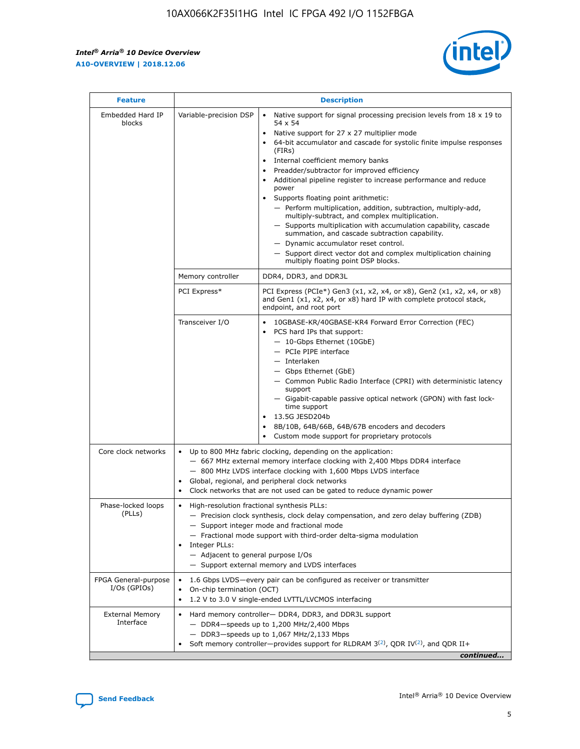r



| <b>Feature</b>                         | <b>Description</b>                                                                                             |                                                                                                                                                                                                                                                                                                                                                                                                                                                                                                                                                                                                                                                                                                                                                                                                                                                     |  |  |  |  |  |
|----------------------------------------|----------------------------------------------------------------------------------------------------------------|-----------------------------------------------------------------------------------------------------------------------------------------------------------------------------------------------------------------------------------------------------------------------------------------------------------------------------------------------------------------------------------------------------------------------------------------------------------------------------------------------------------------------------------------------------------------------------------------------------------------------------------------------------------------------------------------------------------------------------------------------------------------------------------------------------------------------------------------------------|--|--|--|--|--|
| Embedded Hard IP<br>blocks             | Variable-precision DSP                                                                                         | Native support for signal processing precision levels from $18 \times 19$ to<br>$\bullet$<br>54 x 54<br>Native support for 27 x 27 multiplier mode<br>64-bit accumulator and cascade for systolic finite impulse responses<br>(FIRs)<br>Internal coefficient memory banks<br>$\bullet$<br>Preadder/subtractor for improved efficiency<br>Additional pipeline register to increase performance and reduce<br>power<br>Supports floating point arithmetic:<br>- Perform multiplication, addition, subtraction, multiply-add,<br>multiply-subtract, and complex multiplication.<br>- Supports multiplication with accumulation capability, cascade<br>summation, and cascade subtraction capability.<br>- Dynamic accumulator reset control.<br>- Support direct vector dot and complex multiplication chaining<br>multiply floating point DSP blocks. |  |  |  |  |  |
|                                        | Memory controller                                                                                              | DDR4, DDR3, and DDR3L                                                                                                                                                                                                                                                                                                                                                                                                                                                                                                                                                                                                                                                                                                                                                                                                                               |  |  |  |  |  |
|                                        | PCI Express*                                                                                                   | PCI Express (PCIe*) Gen3 (x1, x2, x4, or x8), Gen2 (x1, x2, x4, or x8)<br>and Gen1 (x1, x2, x4, or x8) hard IP with complete protocol stack,<br>endpoint, and root port                                                                                                                                                                                                                                                                                                                                                                                                                                                                                                                                                                                                                                                                             |  |  |  |  |  |
|                                        | Transceiver I/O                                                                                                | 10GBASE-KR/40GBASE-KR4 Forward Error Correction (FEC)<br>PCS hard IPs that support:<br>$\bullet$<br>- 10-Gbps Ethernet (10GbE)<br>- PCIe PIPE interface<br>- Interlaken<br>- Gbps Ethernet (GbE)<br>- Common Public Radio Interface (CPRI) with deterministic latency<br>support<br>- Gigabit-capable passive optical network (GPON) with fast lock-<br>time support<br>13.5G JESD204b<br>$\bullet$<br>8B/10B, 64B/66B, 64B/67B encoders and decoders<br>Custom mode support for proprietary protocols                                                                                                                                                                                                                                                                                                                                              |  |  |  |  |  |
| Core clock networks                    | $\bullet$                                                                                                      | Up to 800 MHz fabric clocking, depending on the application:<br>- 667 MHz external memory interface clocking with 2,400 Mbps DDR4 interface<br>- 800 MHz LVDS interface clocking with 1,600 Mbps LVDS interface<br>Global, regional, and peripheral clock networks<br>Clock networks that are not used can be gated to reduce dynamic power                                                                                                                                                                                                                                                                                                                                                                                                                                                                                                         |  |  |  |  |  |
| Phase-locked loops<br>(PLLs)           | High-resolution fractional synthesis PLLs:<br>$\bullet$<br>Integer PLLs:<br>- Adjacent to general purpose I/Os | - Precision clock synthesis, clock delay compensation, and zero delay buffering (ZDB)<br>- Support integer mode and fractional mode<br>- Fractional mode support with third-order delta-sigma modulation<br>- Support external memory and LVDS interfaces                                                                                                                                                                                                                                                                                                                                                                                                                                                                                                                                                                                           |  |  |  |  |  |
| FPGA General-purpose<br>$I/Os$ (GPIOs) | On-chip termination (OCT)                                                                                      | 1.6 Gbps LVDS-every pair can be configured as receiver or transmitter<br>1.2 V to 3.0 V single-ended LVTTL/LVCMOS interfacing                                                                                                                                                                                                                                                                                                                                                                                                                                                                                                                                                                                                                                                                                                                       |  |  |  |  |  |
| <b>External Memory</b><br>Interface    |                                                                                                                | Hard memory controller- DDR4, DDR3, and DDR3L support<br>$-$ DDR4 $-$ speeds up to 1,200 MHz/2,400 Mbps<br>- DDR3-speeds up to 1,067 MHz/2,133 Mbps<br>Soft memory controller—provides support for RLDRAM $3^{(2)}$ , QDR IV $^{(2)}$ , and QDR II+<br>continued                                                                                                                                                                                                                                                                                                                                                                                                                                                                                                                                                                                    |  |  |  |  |  |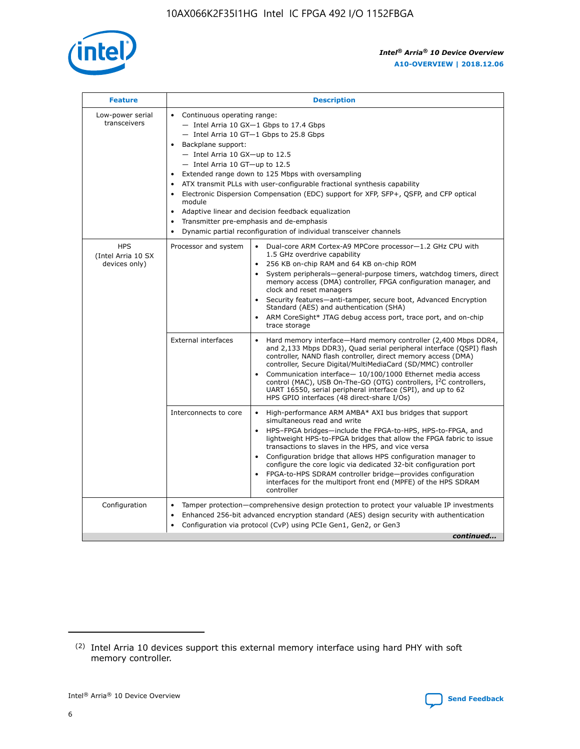

| <b>Feature</b>                                    | <b>Description</b>                                                                                                                                                                                                                                                                                                                                                                                                                                                                                                                                                                                                                                  |
|---------------------------------------------------|-----------------------------------------------------------------------------------------------------------------------------------------------------------------------------------------------------------------------------------------------------------------------------------------------------------------------------------------------------------------------------------------------------------------------------------------------------------------------------------------------------------------------------------------------------------------------------------------------------------------------------------------------------|
| Low-power serial<br>transceivers                  | • Continuous operating range:<br>- Intel Arria 10 GX-1 Gbps to 17.4 Gbps<br>- Intel Arria 10 GT-1 Gbps to 25.8 Gbps<br>Backplane support:<br>- Intel Arria 10 GX-up to 12.5<br>- Intel Arria 10 GT-up to 12.5<br>Extended range down to 125 Mbps with oversampling<br>ATX transmit PLLs with user-configurable fractional synthesis capability<br>Electronic Dispersion Compensation (EDC) support for XFP, SFP+, QSFP, and CFP optical<br>module<br>Adaptive linear and decision feedback equalization<br>$\bullet$<br>Transmitter pre-emphasis and de-emphasis<br>$\bullet$<br>Dynamic partial reconfiguration of individual transceiver channels |
| <b>HPS</b><br>(Intel Arria 10 SX<br>devices only) | Dual-core ARM Cortex-A9 MPCore processor-1.2 GHz CPU with<br>Processor and system<br>$\bullet$<br>1.5 GHz overdrive capability<br>256 KB on-chip RAM and 64 KB on-chip ROM<br>System peripherals—general-purpose timers, watchdog timers, direct<br>memory access (DMA) controller, FPGA configuration manager, and<br>clock and reset managers<br>Security features-anti-tamper, secure boot, Advanced Encryption<br>Standard (AES) and authentication (SHA)<br>ARM CoreSight* JTAG debug access port, trace port, and on-chip<br>trace storage                                                                                                    |
|                                                   | <b>External interfaces</b><br>Hard memory interface-Hard memory controller (2,400 Mbps DDR4,<br>$\bullet$<br>and 2,133 Mbps DDR3), Quad serial peripheral interface (QSPI) flash<br>controller, NAND flash controller, direct memory access (DMA)<br>controller, Secure Digital/MultiMediaCard (SD/MMC) controller<br>Communication interface-10/100/1000 Ethernet media access<br>control (MAC), USB On-The-GO (OTG) controllers, I <sup>2</sup> C controllers,<br>UART 16550, serial peripheral interface (SPI), and up to 62<br>HPS GPIO interfaces (48 direct-share I/Os)                                                                       |
|                                                   | High-performance ARM AMBA* AXI bus bridges that support<br>Interconnects to core<br>$\bullet$<br>simultaneous read and write<br>HPS-FPGA bridges-include the FPGA-to-HPS, HPS-to-FPGA, and<br>$\bullet$<br>lightweight HPS-to-FPGA bridges that allow the FPGA fabric to issue<br>transactions to slaves in the HPS, and vice versa<br>Configuration bridge that allows HPS configuration manager to<br>configure the core logic via dedicated 32-bit configuration port<br>FPGA-to-HPS SDRAM controller bridge-provides configuration<br>interfaces for the multiport front end (MPFE) of the HPS SDRAM<br>controller                              |
| Configuration                                     | Tamper protection—comprehensive design protection to protect your valuable IP investments<br>Enhanced 256-bit advanced encryption standard (AES) design security with authentication<br>٠<br>Configuration via protocol (CvP) using PCIe Gen1, Gen2, or Gen3<br>continued                                                                                                                                                                                                                                                                                                                                                                           |

<sup>(2)</sup> Intel Arria 10 devices support this external memory interface using hard PHY with soft memory controller.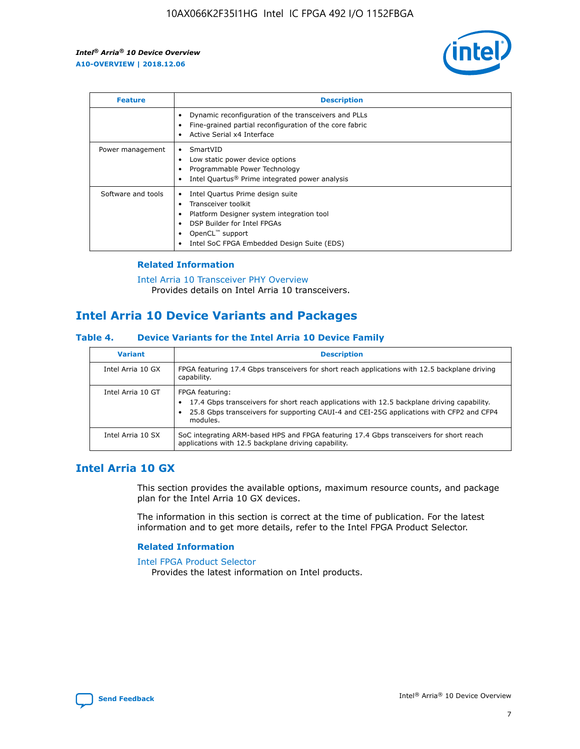

| <b>Feature</b>     | <b>Description</b>                                                                                                                                                                                                            |
|--------------------|-------------------------------------------------------------------------------------------------------------------------------------------------------------------------------------------------------------------------------|
|                    | Dynamic reconfiguration of the transceivers and PLLs<br>Fine-grained partial reconfiguration of the core fabric<br>Active Serial x4 Interface<br>$\bullet$                                                                    |
| Power management   | SmartVID<br>Low static power device options<br>Programmable Power Technology<br>Intel Quartus <sup>®</sup> Prime integrated power analysis                                                                                    |
| Software and tools | Intel Quartus Prime design suite<br>Transceiver toolkit<br>$\bullet$<br>Platform Designer system integration tool<br>DSP Builder for Intel FPGAs<br>OpenCL <sup>"</sup> support<br>Intel SoC FPGA Embedded Design Suite (EDS) |

## **Related Information**

[Intel Arria 10 Transceiver PHY Overview](https://www.intel.com/content/www/us/en/programmable/documentation/nik1398707230472.html#nik1398706768037) Provides details on Intel Arria 10 transceivers.

# **Intel Arria 10 Device Variants and Packages**

#### **Table 4. Device Variants for the Intel Arria 10 Device Family**

| <b>Variant</b>    | <b>Description</b>                                                                                                                                                                                                     |
|-------------------|------------------------------------------------------------------------------------------------------------------------------------------------------------------------------------------------------------------------|
| Intel Arria 10 GX | FPGA featuring 17.4 Gbps transceivers for short reach applications with 12.5 backplane driving<br>capability.                                                                                                          |
| Intel Arria 10 GT | FPGA featuring:<br>17.4 Gbps transceivers for short reach applications with 12.5 backplane driving capability.<br>25.8 Gbps transceivers for supporting CAUI-4 and CEI-25G applications with CFP2 and CFP4<br>modules. |
| Intel Arria 10 SX | SoC integrating ARM-based HPS and FPGA featuring 17.4 Gbps transceivers for short reach<br>applications with 12.5 backplane driving capability.                                                                        |

## **Intel Arria 10 GX**

This section provides the available options, maximum resource counts, and package plan for the Intel Arria 10 GX devices.

The information in this section is correct at the time of publication. For the latest information and to get more details, refer to the Intel FPGA Product Selector.

#### **Related Information**

#### [Intel FPGA Product Selector](http://www.altera.com/products/selector/psg-selector.html) Provides the latest information on Intel products.

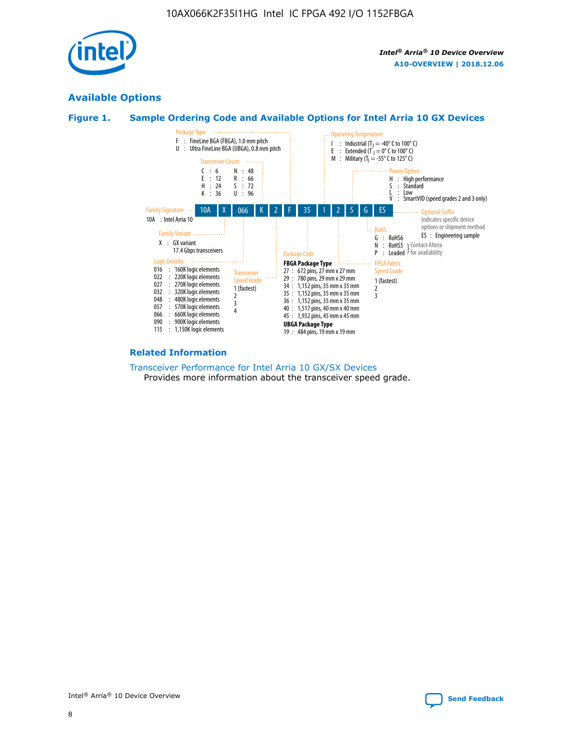

## **Available Options**





#### **Related Information**

[Transceiver Performance for Intel Arria 10 GX/SX Devices](https://www.intel.com/content/www/us/en/programmable/documentation/mcn1413182292568.html#mcn1413213965502) Provides more information about the transceiver speed grade.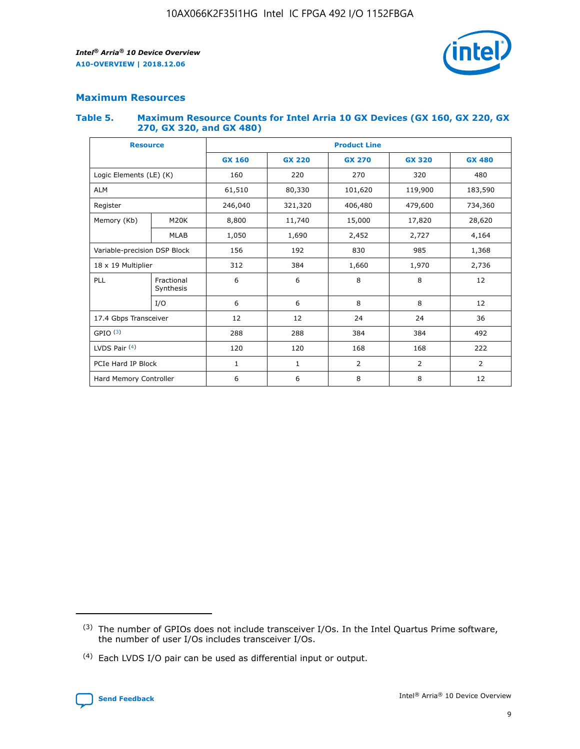

## **Maximum Resources**

#### **Table 5. Maximum Resource Counts for Intel Arria 10 GX Devices (GX 160, GX 220, GX 270, GX 320, and GX 480)**

| <b>Resource</b>         |                                                          | <b>Product Line</b> |                                                 |         |                |                |  |  |  |
|-------------------------|----------------------------------------------------------|---------------------|-------------------------------------------------|---------|----------------|----------------|--|--|--|
|                         |                                                          | <b>GX 160</b>       | <b>GX 220</b><br><b>GX 270</b><br><b>GX 320</b> |         |                | <b>GX 480</b>  |  |  |  |
| Logic Elements (LE) (K) |                                                          | 160                 | 220                                             | 270     | 320            | 480            |  |  |  |
| <b>ALM</b>              |                                                          | 61,510              | 80,330                                          | 101,620 | 119,900        | 183,590        |  |  |  |
| Register                |                                                          | 246,040             | 321,320                                         | 406,480 | 479,600        | 734,360        |  |  |  |
| Memory (Kb)             | M <sub>20</sub> K                                        | 8,800               | 11,740                                          | 15,000  | 17,820         | 28,620         |  |  |  |
| <b>MLAB</b>             |                                                          | 1,050               | 1,690                                           |         | 2,727          | 4,164          |  |  |  |
|                         | Variable-precision DSP Block<br>156<br>192<br>830<br>985 |                     |                                                 |         | 1,368          |                |  |  |  |
| 18 x 19 Multiplier      |                                                          | 312                 | 384                                             | 1,660   | 1,970          | 2,736          |  |  |  |
| PLL                     | Fractional<br>Synthesis                                  | 6                   | 6                                               | 8       | 8              | 12             |  |  |  |
|                         | I/O                                                      | 6                   | 6                                               | 8       | 8              | 12             |  |  |  |
| 17.4 Gbps Transceiver   |                                                          | 12                  | 12                                              | 24      | 24             | 36             |  |  |  |
| GPIO <sup>(3)</sup>     |                                                          | 288                 | 288                                             | 384     | 384            | 492            |  |  |  |
| LVDS Pair $(4)$         |                                                          | 120                 | 120                                             | 168     | 168            | 222            |  |  |  |
| PCIe Hard IP Block      |                                                          | 1                   | 1                                               | 2       | $\overline{2}$ | $\overline{2}$ |  |  |  |
| Hard Memory Controller  |                                                          | 6                   | 6                                               | 8       | 8              | 12             |  |  |  |

<sup>(4)</sup> Each LVDS I/O pair can be used as differential input or output.



<sup>(3)</sup> The number of GPIOs does not include transceiver I/Os. In the Intel Quartus Prime software, the number of user I/Os includes transceiver I/Os.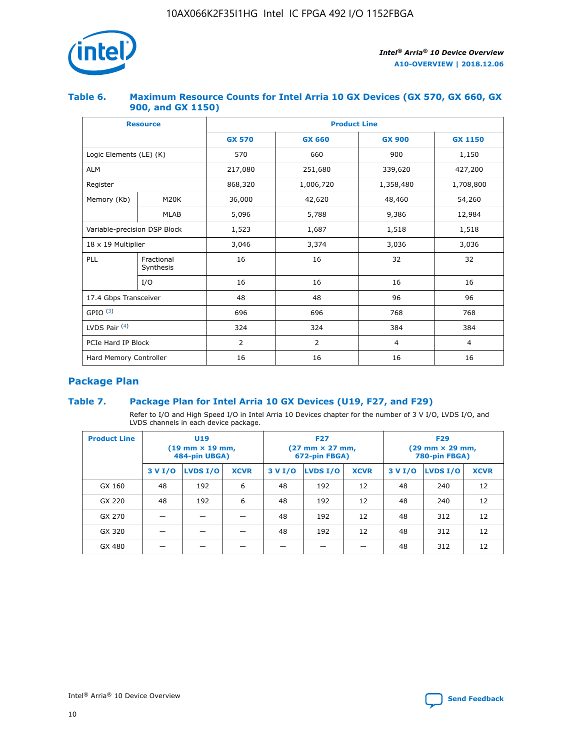

## **Table 6. Maximum Resource Counts for Intel Arria 10 GX Devices (GX 570, GX 660, GX 900, and GX 1150)**

|                              | <b>Resource</b>         | <b>Product Line</b> |                |                |                |  |  |  |
|------------------------------|-------------------------|---------------------|----------------|----------------|----------------|--|--|--|
|                              |                         | <b>GX 570</b>       | <b>GX 660</b>  | <b>GX 900</b>  | <b>GX 1150</b> |  |  |  |
| Logic Elements (LE) (K)      |                         | 570                 | 660            | 900            | 1,150          |  |  |  |
| <b>ALM</b>                   |                         | 217,080             | 251,680        | 339,620        | 427,200        |  |  |  |
| Register                     |                         | 868,320             | 1,006,720      | 1,358,480      | 1,708,800      |  |  |  |
| Memory (Kb)                  | <b>M20K</b>             | 36,000              | 42,620         | 48,460         | 54,260         |  |  |  |
|                              | <b>MLAB</b>             | 5,096               | 5,788          | 9,386          | 12,984         |  |  |  |
| Variable-precision DSP Block |                         | 1,523               | 1,687          | 1,518          | 1,518          |  |  |  |
| 18 x 19 Multiplier           |                         | 3,046               | 3,374          | 3,036          | 3,036          |  |  |  |
| PLL                          | Fractional<br>Synthesis | 16                  | 16             | 32             | 32             |  |  |  |
|                              | I/O                     | 16                  | 16             | 16             | 16             |  |  |  |
| 17.4 Gbps Transceiver        |                         | 48                  | 48             | 96             | 96             |  |  |  |
| GPIO <sup>(3)</sup>          |                         | 696                 | 696            | 768            | 768            |  |  |  |
| LVDS Pair $(4)$              |                         | 324                 | 324            | 384            | 384            |  |  |  |
| PCIe Hard IP Block           |                         | 2                   | $\overline{2}$ | $\overline{4}$ | $\overline{4}$ |  |  |  |
| Hard Memory Controller       |                         | 16                  | 16             | 16             | 16             |  |  |  |

## **Package Plan**

## **Table 7. Package Plan for Intel Arria 10 GX Devices (U19, F27, and F29)**

Refer to I/O and High Speed I/O in Intel Arria 10 Devices chapter for the number of 3 V I/O, LVDS I/O, and LVDS channels in each device package.

| <b>Product Line</b> | U <sub>19</sub><br>$(19 \text{ mm} \times 19 \text{ mm})$<br>484-pin UBGA) |          |             |         | <b>F27</b><br>(27 mm × 27 mm,<br>672-pin FBGA) |             | <b>F29</b><br>(29 mm × 29 mm,<br>780-pin FBGA) |          |             |  |
|---------------------|----------------------------------------------------------------------------|----------|-------------|---------|------------------------------------------------|-------------|------------------------------------------------|----------|-------------|--|
|                     | 3 V I/O                                                                    | LVDS I/O | <b>XCVR</b> | 3 V I/O | <b>LVDS I/O</b>                                | <b>XCVR</b> | 3 V I/O                                        | LVDS I/O | <b>XCVR</b> |  |
| GX 160              | 48                                                                         | 192      | 6           | 48      | 192                                            | 12          | 48                                             | 240      | 12          |  |
| GX 220              | 48                                                                         | 192      | 6           | 48      | 192                                            | 12          | 48                                             | 240      | 12          |  |
| GX 270              |                                                                            |          |             | 48      | 192                                            | 12          | 48                                             | 312      | 12          |  |
| GX 320              |                                                                            |          |             | 48      | 192                                            | 12          | 48                                             | 312      | 12          |  |
| GX 480              |                                                                            |          |             |         |                                                |             | 48                                             | 312      | 12          |  |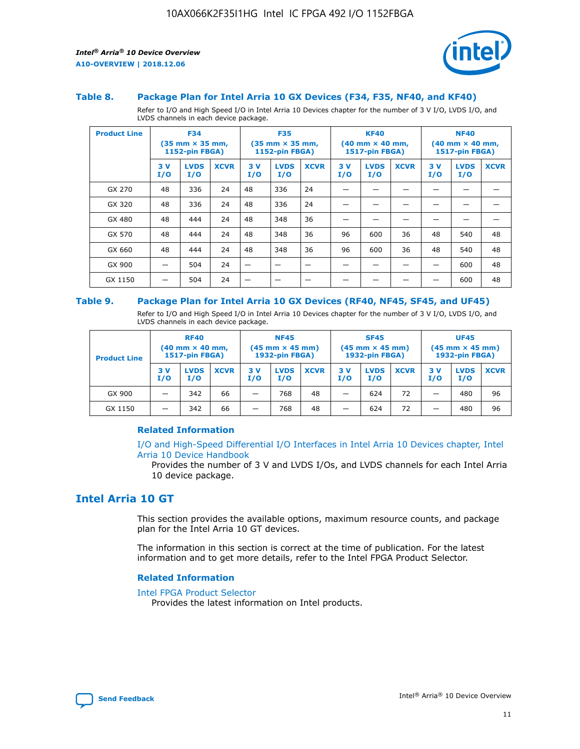

#### **Table 8. Package Plan for Intel Arria 10 GX Devices (F34, F35, NF40, and KF40)**

Refer to I/O and High Speed I/O in Intel Arria 10 Devices chapter for the number of 3 V I/O, LVDS I/O, and LVDS channels in each device package.

| <b>Product Line</b> | <b>F34</b><br>$(35 \text{ mm} \times 35 \text{ mm})$<br>1152-pin FBGA) |                    | <b>F35</b><br>$(35 \text{ mm} \times 35 \text{ mm})$<br><b>1152-pin FBGA)</b> |           | <b>KF40</b><br>$(40$ mm $\times$ 40 mm,<br>1517-pin FBGA) |             |           | <b>NF40</b><br>$(40 \text{ mm} \times 40 \text{ mm})$<br><b>1517-pin FBGA)</b> |             |            |                    |             |
|---------------------|------------------------------------------------------------------------|--------------------|-------------------------------------------------------------------------------|-----------|-----------------------------------------------------------|-------------|-----------|--------------------------------------------------------------------------------|-------------|------------|--------------------|-------------|
|                     | 3V<br>I/O                                                              | <b>LVDS</b><br>I/O | <b>XCVR</b>                                                                   | 3V<br>I/O | <b>LVDS</b><br>I/O                                        | <b>XCVR</b> | 3V<br>I/O | <b>LVDS</b><br>I/O                                                             | <b>XCVR</b> | 3 V<br>I/O | <b>LVDS</b><br>I/O | <b>XCVR</b> |
| GX 270              | 48                                                                     | 336                | 24                                                                            | 48        | 336                                                       | 24          |           |                                                                                |             |            |                    |             |
| GX 320              | 48                                                                     | 336                | 24                                                                            | 48        | 336                                                       | 24          |           |                                                                                |             |            |                    |             |
| GX 480              | 48                                                                     | 444                | 24                                                                            | 48        | 348                                                       | 36          |           |                                                                                |             |            |                    |             |
| GX 570              | 48                                                                     | 444                | 24                                                                            | 48        | 348                                                       | 36          | 96        | 600                                                                            | 36          | 48         | 540                | 48          |
| GX 660              | 48                                                                     | 444                | 24                                                                            | 48        | 348                                                       | 36          | 96        | 600                                                                            | 36          | 48         | 540                | 48          |
| GX 900              |                                                                        | 504                | 24                                                                            | –         |                                                           |             |           |                                                                                |             |            | 600                | 48          |
| GX 1150             |                                                                        | 504                | 24                                                                            |           |                                                           |             |           |                                                                                |             |            | 600                | 48          |

#### **Table 9. Package Plan for Intel Arria 10 GX Devices (RF40, NF45, SF45, and UF45)**

Refer to I/O and High Speed I/O in Intel Arria 10 Devices chapter for the number of 3 V I/O, LVDS I/O, and LVDS channels in each device package.

| <b>Product Line</b> | <b>RF40</b><br>$(40 \text{ mm} \times 40 \text{ mm})$<br>1517-pin FBGA) |                    | <b>NF45</b><br>$(45 \text{ mm} \times 45 \text{ mm})$<br><b>1932-pin FBGA)</b> |            |                    | <b>SF45</b><br>$(45 \text{ mm} \times 45 \text{ mm})$<br><b>1932-pin FBGA)</b> |            |                    | <b>UF45</b><br>$(45 \text{ mm} \times 45 \text{ mm})$<br>1932-pin FBGA) |           |                    |             |
|---------------------|-------------------------------------------------------------------------|--------------------|--------------------------------------------------------------------------------|------------|--------------------|--------------------------------------------------------------------------------|------------|--------------------|-------------------------------------------------------------------------|-----------|--------------------|-------------|
|                     | 3 V<br>I/O                                                              | <b>LVDS</b><br>I/O | <b>XCVR</b>                                                                    | 3 V<br>I/O | <b>LVDS</b><br>I/O | <b>XCVR</b>                                                                    | 3 V<br>I/O | <b>LVDS</b><br>I/O | <b>XCVR</b>                                                             | 3V<br>I/O | <b>LVDS</b><br>I/O | <b>XCVR</b> |
| GX 900              | _                                                                       | 342                | 66                                                                             | -          | 768                | 48                                                                             | -          | 624                | 72                                                                      | _         | 480                | 96          |
| GX 1150             |                                                                         | 342                | 66                                                                             | -          | 768                | 48                                                                             |            | 624                | 72                                                                      |           | 480                | 96          |

### **Related Information**

[I/O and High-Speed Differential I/O Interfaces in Intel Arria 10 Devices chapter, Intel](https://www.intel.com/content/www/us/en/programmable/documentation/sam1403482614086.html#sam1403482030321) [Arria 10 Device Handbook](https://www.intel.com/content/www/us/en/programmable/documentation/sam1403482614086.html#sam1403482030321)

Provides the number of 3 V and LVDS I/Os, and LVDS channels for each Intel Arria 10 device package.

## **Intel Arria 10 GT**

This section provides the available options, maximum resource counts, and package plan for the Intel Arria 10 GT devices.

The information in this section is correct at the time of publication. For the latest information and to get more details, refer to the Intel FPGA Product Selector.

#### **Related Information**

#### [Intel FPGA Product Selector](http://www.altera.com/products/selector/psg-selector.html)

Provides the latest information on Intel products.

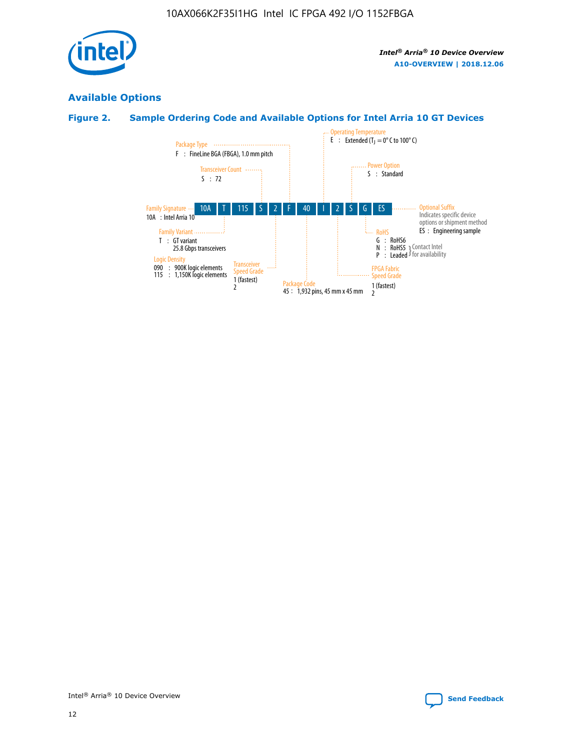

## **Available Options**

## **Figure 2. Sample Ordering Code and Available Options for Intel Arria 10 GT Devices**

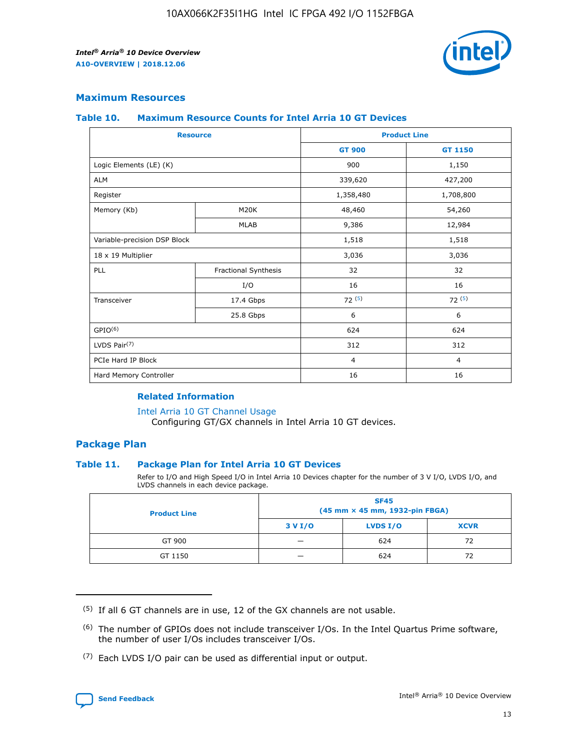

## **Maximum Resources**

#### **Table 10. Maximum Resource Counts for Intel Arria 10 GT Devices**

| <b>Resource</b>              |                      | <b>Product Line</b> |                |  |
|------------------------------|----------------------|---------------------|----------------|--|
|                              |                      | <b>GT 900</b>       | GT 1150        |  |
| Logic Elements (LE) (K)      |                      | 900                 | 1,150          |  |
| <b>ALM</b>                   |                      | 339,620             | 427,200        |  |
| Register                     |                      | 1,358,480           | 1,708,800      |  |
| Memory (Kb)                  | M <sub>20</sub> K    | 48,460              | 54,260         |  |
|                              | <b>MLAB</b>          | 9,386               | 12,984         |  |
| Variable-precision DSP Block |                      | 1,518               | 1,518          |  |
| 18 x 19 Multiplier           |                      | 3,036               | 3,036          |  |
| PLL                          | Fractional Synthesis | 32                  | 32             |  |
|                              | I/O                  | 16                  | 16             |  |
| Transceiver                  | 17.4 Gbps            | 72(5)               | 72(5)          |  |
|                              | 25.8 Gbps            | 6                   | 6              |  |
| GPIO <sup>(6)</sup>          |                      | 624                 | 624            |  |
| LVDS Pair $(7)$              |                      | 312                 | 312            |  |
| PCIe Hard IP Block           |                      | $\overline{4}$      | $\overline{4}$ |  |
| Hard Memory Controller       |                      | 16                  | 16             |  |

#### **Related Information**

#### [Intel Arria 10 GT Channel Usage](https://www.intel.com/content/www/us/en/programmable/documentation/nik1398707230472.html#nik1398707008178)

Configuring GT/GX channels in Intel Arria 10 GT devices.

## **Package Plan**

### **Table 11. Package Plan for Intel Arria 10 GT Devices**

Refer to I/O and High Speed I/O in Intel Arria 10 Devices chapter for the number of 3 V I/O, LVDS I/O, and LVDS channels in each device package.

| <b>Product Line</b> | <b>SF45</b><br>(45 mm × 45 mm, 1932-pin FBGA) |                 |             |  |  |  |
|---------------------|-----------------------------------------------|-----------------|-------------|--|--|--|
|                     | 3 V I/O                                       | <b>LVDS I/O</b> | <b>XCVR</b> |  |  |  |
| GT 900              |                                               | 624             | 72          |  |  |  |
| GT 1150             |                                               | 624             | 72          |  |  |  |

<sup>(7)</sup> Each LVDS I/O pair can be used as differential input or output.



 $(5)$  If all 6 GT channels are in use, 12 of the GX channels are not usable.

<sup>(6)</sup> The number of GPIOs does not include transceiver I/Os. In the Intel Quartus Prime software, the number of user I/Os includes transceiver I/Os.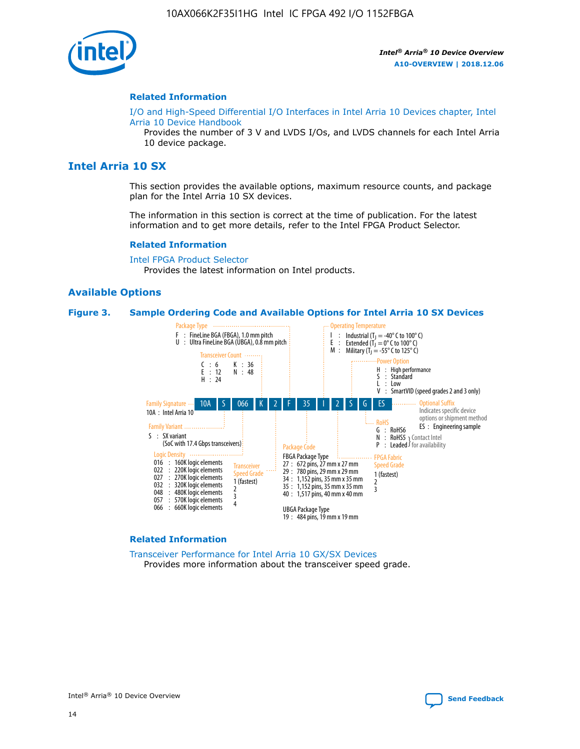

#### **Related Information**

[I/O and High-Speed Differential I/O Interfaces in Intel Arria 10 Devices chapter, Intel](https://www.intel.com/content/www/us/en/programmable/documentation/sam1403482614086.html#sam1403482030321) [Arria 10 Device Handbook](https://www.intel.com/content/www/us/en/programmable/documentation/sam1403482614086.html#sam1403482030321)

Provides the number of 3 V and LVDS I/Os, and LVDS channels for each Intel Arria 10 device package.

## **Intel Arria 10 SX**

This section provides the available options, maximum resource counts, and package plan for the Intel Arria 10 SX devices.

The information in this section is correct at the time of publication. For the latest information and to get more details, refer to the Intel FPGA Product Selector.

#### **Related Information**

[Intel FPGA Product Selector](http://www.altera.com/products/selector/psg-selector.html) Provides the latest information on Intel products.

### **Available Options**

#### **Figure 3. Sample Ordering Code and Available Options for Intel Arria 10 SX Devices**



#### **Related Information**

[Transceiver Performance for Intel Arria 10 GX/SX Devices](https://www.intel.com/content/www/us/en/programmable/documentation/mcn1413182292568.html#mcn1413213965502) Provides more information about the transceiver speed grade.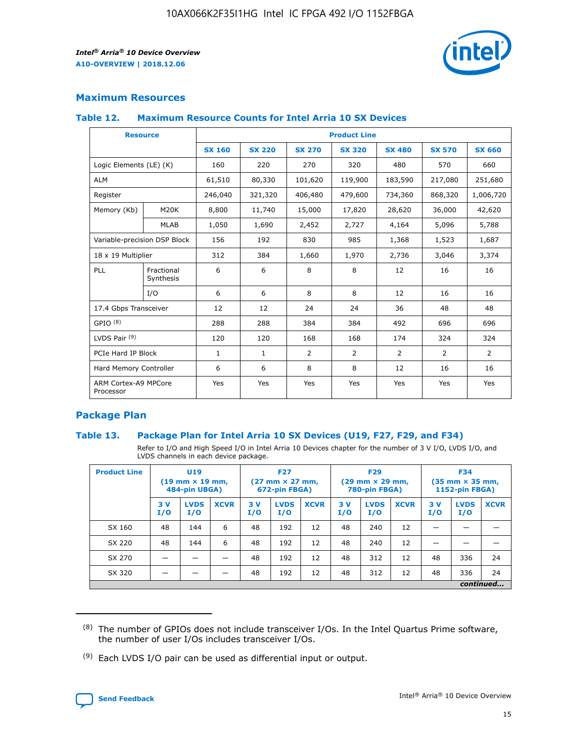

## **Maximum Resources**

### **Table 12. Maximum Resource Counts for Intel Arria 10 SX Devices**

| <b>Resource</b>                   |                         |               |               |                | <b>Product Line</b> |                |                |                |
|-----------------------------------|-------------------------|---------------|---------------|----------------|---------------------|----------------|----------------|----------------|
|                                   |                         | <b>SX 160</b> | <b>SX 220</b> | <b>SX 270</b>  | <b>SX 320</b>       | <b>SX 480</b>  | <b>SX 570</b>  | <b>SX 660</b>  |
| Logic Elements (LE) (K)           |                         | 160           | 220           | 270            | 320                 | 480            | 570            | 660            |
| <b>ALM</b>                        |                         | 61,510        | 80,330        | 101,620        | 119,900             | 183,590        | 217,080        | 251,680        |
| Register                          |                         | 246,040       | 321,320       | 406,480        | 479,600             | 734,360        | 868,320        | 1,006,720      |
| Memory (Kb)                       | <b>M20K</b>             | 8,800         | 11,740        | 15,000         | 17,820              | 28,620         | 36,000         | 42,620         |
|                                   | <b>MLAB</b>             | 1,050         | 1,690         | 2,452          | 2,727               | 4,164          | 5,096          | 5,788          |
| Variable-precision DSP Block      |                         | 156           | 192           | 830            | 985                 | 1,368          | 1,523          | 1,687          |
| 18 x 19 Multiplier                |                         | 312           | 384           | 1,660          | 1,970               | 2,736          | 3,046          | 3,374          |
| PLL                               | Fractional<br>Synthesis | 6             | 6             | 8              | 8                   | 12             | 16             | 16             |
|                                   | I/O                     | 6             | 6             | 8              | 8                   | 12             | 16             | 16             |
| 17.4 Gbps Transceiver             |                         | 12            | 12            | 24             | 24                  | 36             | 48             | 48             |
| GPIO <sup>(8)</sup>               |                         | 288           | 288           | 384            | 384                 | 492            | 696            | 696            |
| LVDS Pair $(9)$                   |                         | 120           | 120           | 168            | 168                 | 174            | 324            | 324            |
| PCIe Hard IP Block                |                         | $\mathbf{1}$  | $\mathbf{1}$  | $\overline{2}$ | $\overline{2}$      | $\overline{2}$ | $\overline{2}$ | $\overline{2}$ |
| Hard Memory Controller            |                         | 6             | 6             | 8              | 8                   | 12             | 16             | 16             |
| ARM Cortex-A9 MPCore<br>Processor |                         | Yes           | Yes           | Yes            | Yes                 | Yes            | Yes            | Yes            |

## **Package Plan**

### **Table 13. Package Plan for Intel Arria 10 SX Devices (U19, F27, F29, and F34)**

Refer to I/O and High Speed I/O in Intel Arria 10 Devices chapter for the number of 3 V I/O, LVDS I/O, and LVDS channels in each device package.

| <b>Product Line</b> | <b>U19</b><br>$(19 \text{ mm} \times 19 \text{ mm})$<br>484-pin UBGA) |                    | <b>F27</b><br>$(27 \text{ mm} \times 27 \text{ mm})$<br>672-pin FBGA) |           | <b>F29</b><br>$(29$ mm $\times$ 29 mm,<br>780-pin FBGA) |             |            | <b>F34</b><br>$(35 \text{ mm} \times 35 \text{ mm})$<br>1152-pin FBGA) |             |           |                    |             |
|---------------------|-----------------------------------------------------------------------|--------------------|-----------------------------------------------------------------------|-----------|---------------------------------------------------------|-------------|------------|------------------------------------------------------------------------|-------------|-----------|--------------------|-------------|
|                     | 3V<br>I/O                                                             | <b>LVDS</b><br>I/O | <b>XCVR</b>                                                           | 3V<br>I/O | <b>LVDS</b><br>I/O                                      | <b>XCVR</b> | 3 V<br>I/O | <b>LVDS</b><br>I/O                                                     | <b>XCVR</b> | 3V<br>I/O | <b>LVDS</b><br>I/O | <b>XCVR</b> |
| SX 160              | 48                                                                    | 144                | 6                                                                     | 48        | 192                                                     | 12          | 48         | 240                                                                    | 12          | –         |                    |             |
| SX 220              | 48                                                                    | 144                | 6                                                                     | 48        | 192                                                     | 12          | 48         | 240                                                                    | 12          |           |                    |             |
| SX 270              |                                                                       |                    |                                                                       | 48        | 192                                                     | 12          | 48         | 312                                                                    | 12          | 48        | 336                | 24          |
| SX 320              |                                                                       |                    |                                                                       | 48        | 192                                                     | 12          | 48         | 312                                                                    | 12          | 48        | 336                | 24          |
|                     | continued                                                             |                    |                                                                       |           |                                                         |             |            |                                                                        |             |           |                    |             |

 $(8)$  The number of GPIOs does not include transceiver I/Os. In the Intel Quartus Prime software, the number of user I/Os includes transceiver I/Os.

 $(9)$  Each LVDS I/O pair can be used as differential input or output.

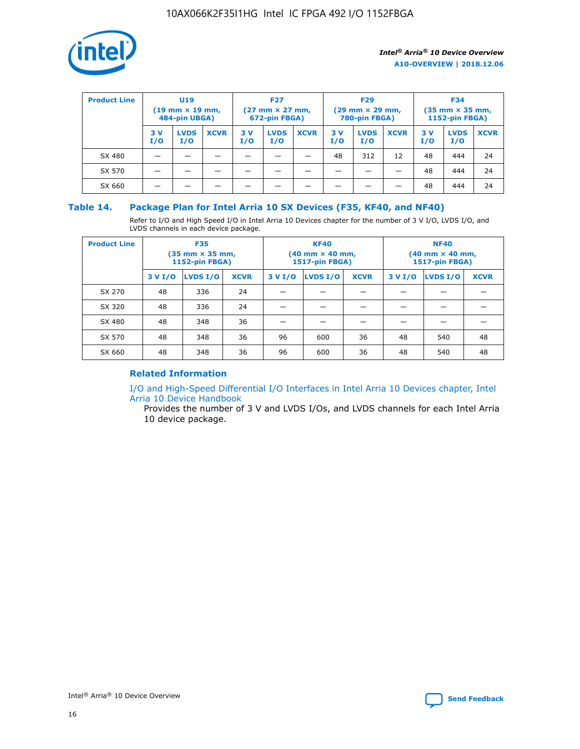

| <b>Product Line</b> | U <sub>19</sub><br>$(19 \text{ mm} \times 19 \text{ mm})$<br>484-pin UBGA) |                    | <b>F27</b><br>$(27 \text{ mm} \times 27 \text{ mm})$<br>672-pin FBGA) |           | <b>F29</b><br>$(29 \text{ mm} \times 29 \text{ mm})$<br>780-pin FBGA) |             |           | <b>F34</b><br>$(35$ mm $\times$ 35 mm,<br><b>1152-pin FBGA)</b> |             |           |                    |             |
|---------------------|----------------------------------------------------------------------------|--------------------|-----------------------------------------------------------------------|-----------|-----------------------------------------------------------------------|-------------|-----------|-----------------------------------------------------------------|-------------|-----------|--------------------|-------------|
|                     | 3V<br>I/O                                                                  | <b>LVDS</b><br>I/O | <b>XCVR</b>                                                           | 3V<br>I/O | <b>LVDS</b><br>I/O                                                    | <b>XCVR</b> | 3V<br>I/O | <b>LVDS</b><br>I/O                                              | <b>XCVR</b> | 3V<br>I/O | <b>LVDS</b><br>I/O | <b>XCVR</b> |
| SX 480              |                                                                            |                    |                                                                       |           |                                                                       |             | 48        | 312                                                             | 12          | 48        | 444                | 24          |
| SX 570              |                                                                            |                    |                                                                       |           |                                                                       |             |           |                                                                 |             | 48        | 444                | 24          |
| SX 660              |                                                                            |                    |                                                                       |           |                                                                       |             |           |                                                                 |             | 48        | 444                | 24          |

## **Table 14. Package Plan for Intel Arria 10 SX Devices (F35, KF40, and NF40)**

Refer to I/O and High Speed I/O in Intel Arria 10 Devices chapter for the number of 3 V I/O, LVDS I/O, and LVDS channels in each device package.

| <b>Product Line</b> | <b>F35</b><br>(35 mm × 35 mm,<br><b>1152-pin FBGA)</b> |          |             |                                           | <b>KF40</b><br>(40 mm × 40 mm,<br>1517-pin FBGA) |    | <b>NF40</b><br>$(40 \text{ mm} \times 40 \text{ mm})$<br>1517-pin FBGA) |          |             |  |
|---------------------|--------------------------------------------------------|----------|-------------|-------------------------------------------|--------------------------------------------------|----|-------------------------------------------------------------------------|----------|-------------|--|
|                     | 3 V I/O                                                | LVDS I/O | <b>XCVR</b> | <b>LVDS I/O</b><br>3 V I/O<br><b>XCVR</b> |                                                  |    | 3 V I/O                                                                 | LVDS I/O | <b>XCVR</b> |  |
| SX 270              | 48                                                     | 336      | 24          |                                           |                                                  |    |                                                                         |          |             |  |
| SX 320              | 48                                                     | 336      | 24          |                                           |                                                  |    |                                                                         |          |             |  |
| SX 480              | 48                                                     | 348      | 36          |                                           |                                                  |    |                                                                         |          |             |  |
| SX 570              | 48                                                     | 348      | 36          | 96                                        | 600                                              | 36 | 48                                                                      | 540      | 48          |  |
| SX 660              | 48                                                     | 348      | 36          | 96                                        | 600                                              | 36 | 48                                                                      | 540      | 48          |  |

## **Related Information**

[I/O and High-Speed Differential I/O Interfaces in Intel Arria 10 Devices chapter, Intel](https://www.intel.com/content/www/us/en/programmable/documentation/sam1403482614086.html#sam1403482030321) [Arria 10 Device Handbook](https://www.intel.com/content/www/us/en/programmable/documentation/sam1403482614086.html#sam1403482030321)

Provides the number of 3 V and LVDS I/Os, and LVDS channels for each Intel Arria 10 device package.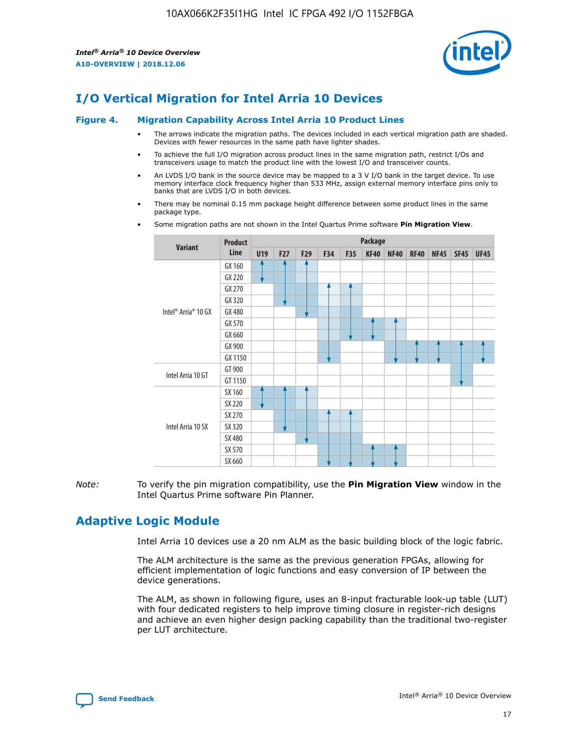

# **I/O Vertical Migration for Intel Arria 10 Devices**

#### **Figure 4. Migration Capability Across Intel Arria 10 Product Lines**

- The arrows indicate the migration paths. The devices included in each vertical migration path are shaded. Devices with fewer resources in the same path have lighter shades.
- To achieve the full I/O migration across product lines in the same migration path, restrict I/Os and transceivers usage to match the product line with the lowest I/O and transceiver counts.
- An LVDS I/O bank in the source device may be mapped to a 3 V I/O bank in the target device. To use memory interface clock frequency higher than 533 MHz, assign external memory interface pins only to banks that are LVDS I/O in both devices.
- There may be nominal 0.15 mm package height difference between some product lines in the same package type.
	- **Variant Product Line Package U19 F27 F29 F34 F35 KF40 NF40 RF40 NF45 SF45 UF45** Intel® Arria® 10 GX GX 160 GX 220 GX 270 GX 320 GX 480 GX 570 GX 660 GX 900 GX 1150 Intel Arria 10 GT GT 900 GT 1150 Intel Arria 10 SX SX 160 SX 220 SX 270 SX 320 SX 480 SX 570 SX 660
- Some migration paths are not shown in the Intel Quartus Prime software **Pin Migration View**.

*Note:* To verify the pin migration compatibility, use the **Pin Migration View** window in the Intel Quartus Prime software Pin Planner.

# **Adaptive Logic Module**

Intel Arria 10 devices use a 20 nm ALM as the basic building block of the logic fabric.

The ALM architecture is the same as the previous generation FPGAs, allowing for efficient implementation of logic functions and easy conversion of IP between the device generations.

The ALM, as shown in following figure, uses an 8-input fracturable look-up table (LUT) with four dedicated registers to help improve timing closure in register-rich designs and achieve an even higher design packing capability than the traditional two-register per LUT architecture.

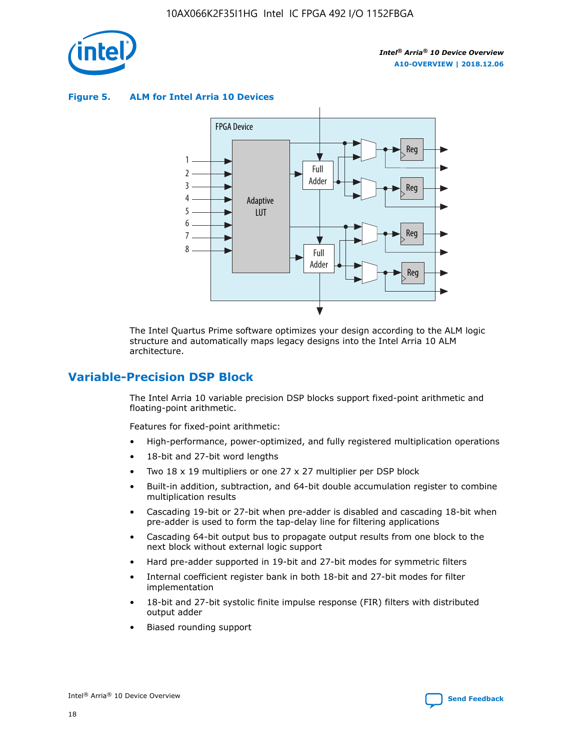

**Figure 5. ALM for Intel Arria 10 Devices**



The Intel Quartus Prime software optimizes your design according to the ALM logic structure and automatically maps legacy designs into the Intel Arria 10 ALM architecture.

## **Variable-Precision DSP Block**

The Intel Arria 10 variable precision DSP blocks support fixed-point arithmetic and floating-point arithmetic.

Features for fixed-point arithmetic:

- High-performance, power-optimized, and fully registered multiplication operations
- 18-bit and 27-bit word lengths
- Two 18 x 19 multipliers or one 27 x 27 multiplier per DSP block
- Built-in addition, subtraction, and 64-bit double accumulation register to combine multiplication results
- Cascading 19-bit or 27-bit when pre-adder is disabled and cascading 18-bit when pre-adder is used to form the tap-delay line for filtering applications
- Cascading 64-bit output bus to propagate output results from one block to the next block without external logic support
- Hard pre-adder supported in 19-bit and 27-bit modes for symmetric filters
- Internal coefficient register bank in both 18-bit and 27-bit modes for filter implementation
- 18-bit and 27-bit systolic finite impulse response (FIR) filters with distributed output adder
- Biased rounding support

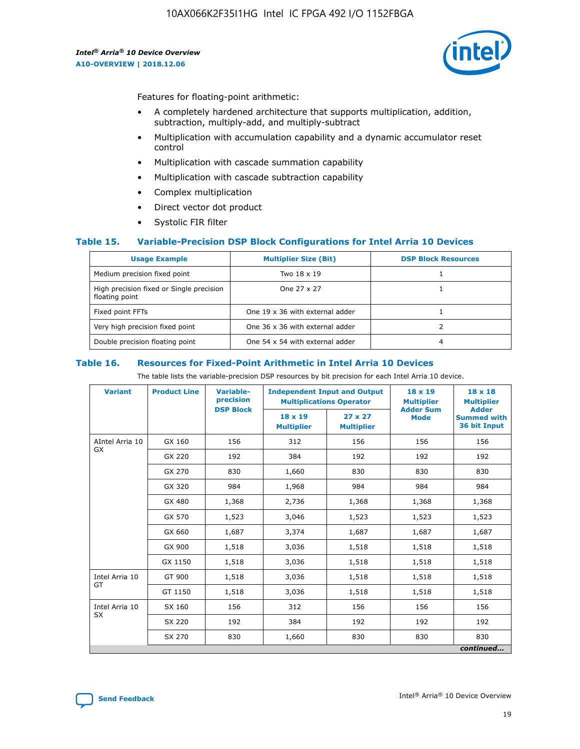

Features for floating-point arithmetic:

- A completely hardened architecture that supports multiplication, addition, subtraction, multiply-add, and multiply-subtract
- Multiplication with accumulation capability and a dynamic accumulator reset control
- Multiplication with cascade summation capability
- Multiplication with cascade subtraction capability
- Complex multiplication
- Direct vector dot product
- Systolic FIR filter

### **Table 15. Variable-Precision DSP Block Configurations for Intel Arria 10 Devices**

| <b>Usage Example</b>                                       | <b>Multiplier Size (Bit)</b>    | <b>DSP Block Resources</b> |
|------------------------------------------------------------|---------------------------------|----------------------------|
| Medium precision fixed point                               | Two 18 x 19                     |                            |
| High precision fixed or Single precision<br>floating point | One 27 x 27                     |                            |
| Fixed point FFTs                                           | One 19 x 36 with external adder |                            |
| Very high precision fixed point                            | One 36 x 36 with external adder |                            |
| Double precision floating point                            | One 54 x 54 with external adder | 4                          |

#### **Table 16. Resources for Fixed-Point Arithmetic in Intel Arria 10 Devices**

The table lists the variable-precision DSP resources by bit precision for each Intel Arria 10 device.

| <b>Variant</b>  | <b>Product Line</b> | <b>Variable-</b><br>precision | <b>Independent Input and Output</b><br><b>Multiplications Operator</b> |                                     | 18 x 19<br><b>Multiplier</b>    | $18 \times 18$<br><b>Multiplier</b>                |
|-----------------|---------------------|-------------------------------|------------------------------------------------------------------------|-------------------------------------|---------------------------------|----------------------------------------------------|
|                 |                     | <b>DSP Block</b>              | 18 x 19<br><b>Multiplier</b>                                           | $27 \times 27$<br><b>Multiplier</b> | <b>Adder Sum</b><br><b>Mode</b> | <b>Adder</b><br><b>Summed with</b><br>36 bit Input |
| AIntel Arria 10 | GX 160              | 156                           | 312                                                                    | 156                                 | 156                             | 156                                                |
| <b>GX</b>       | GX 220              | 192                           | 384                                                                    | 192                                 | 192                             | 192                                                |
|                 | GX 270              | 830                           | 1,660                                                                  | 830                                 | 830                             | 830                                                |
|                 | GX 320              | 984                           | 1,968                                                                  | 984                                 | 984                             | 984                                                |
|                 | GX 480              | 1,368                         | 2,736                                                                  | 1,368                               | 1,368                           | 1,368                                              |
|                 | GX 570              | 1,523                         | 3,046                                                                  | 1,523                               | 1,523                           | 1,523                                              |
|                 | GX 660              | 1,687                         | 3,374                                                                  | 1,687                               | 1,687                           | 1,687                                              |
|                 | GX 900              | 1,518                         | 3,036                                                                  | 1,518                               | 1,518                           | 1,518                                              |
|                 | GX 1150             | 1,518                         | 3,036                                                                  | 1,518                               | 1,518                           | 1,518                                              |
| Intel Arria 10  | GT 900              | 1,518                         | 3,036                                                                  | 1,518                               | 1,518                           | 1,518                                              |
| GT              | GT 1150             | 1,518                         | 3,036                                                                  | 1,518                               | 1,518                           | 1,518                                              |
| Intel Arria 10  | SX 160              | 156                           | 312                                                                    | 156                                 | 156                             | 156                                                |
| <b>SX</b>       | SX 220              | 192                           | 384                                                                    | 192                                 | 192                             | 192                                                |
|                 | SX 270              | 830                           | 1,660                                                                  | 830                                 | 830                             | 830                                                |
|                 |                     |                               |                                                                        |                                     |                                 | continued                                          |

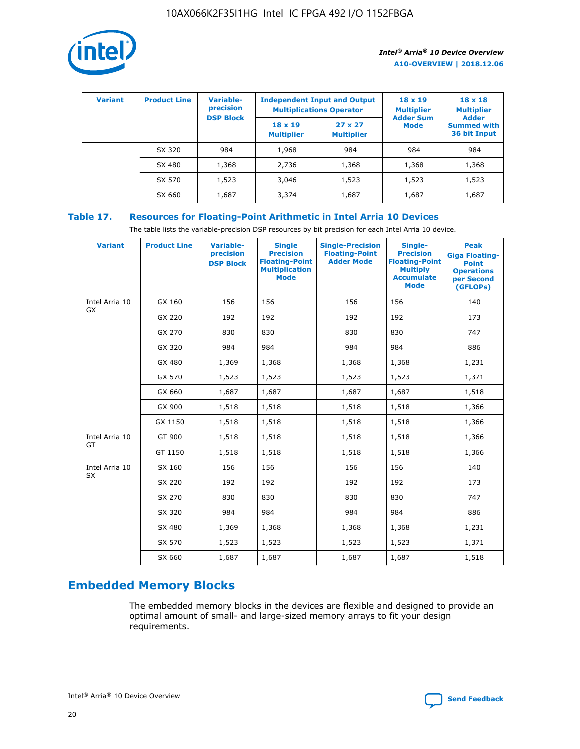

| <b>Variant</b> | <b>Product Line</b> | Variable-<br>precision | <b>Independent Input and Output</b><br><b>Multiplications Operator</b> |                                     | $18 \times 19$<br><b>Multiplier</b> | $18 \times 18$<br><b>Multiplier</b><br><b>Adder</b> |  |
|----------------|---------------------|------------------------|------------------------------------------------------------------------|-------------------------------------|-------------------------------------|-----------------------------------------------------|--|
|                |                     | <b>DSP Block</b>       | $18 \times 19$<br><b>Multiplier</b>                                    | $27 \times 27$<br><b>Multiplier</b> | <b>Adder Sum</b><br><b>Mode</b>     | <b>Summed with</b><br>36 bit Input                  |  |
|                | SX 320              | 984                    | 1,968                                                                  | 984                                 | 984                                 | 984                                                 |  |
|                | SX 480              | 1,368                  | 2,736                                                                  | 1,368                               | 1,368                               | 1,368                                               |  |
|                | SX 570              | 1,523                  | 3,046                                                                  | 1,523                               | 1,523                               | 1,523                                               |  |
|                | SX 660              | 1,687                  | 3,374                                                                  | 1,687                               | 1,687                               | 1,687                                               |  |

## **Table 17. Resources for Floating-Point Arithmetic in Intel Arria 10 Devices**

The table lists the variable-precision DSP resources by bit precision for each Intel Arria 10 device.

| <b>Variant</b> | <b>Product Line</b> | <b>Variable-</b><br>precision<br><b>DSP Block</b> | <b>Single</b><br><b>Precision</b><br><b>Floating-Point</b><br><b>Multiplication</b><br><b>Mode</b> | <b>Single-Precision</b><br><b>Floating-Point</b><br><b>Adder Mode</b> | Single-<br><b>Precision</b><br><b>Floating-Point</b><br><b>Multiply</b><br><b>Accumulate</b><br><b>Mode</b> | <b>Peak</b><br><b>Giga Floating-</b><br><b>Point</b><br><b>Operations</b><br>per Second<br>(GFLOPs) |
|----------------|---------------------|---------------------------------------------------|----------------------------------------------------------------------------------------------------|-----------------------------------------------------------------------|-------------------------------------------------------------------------------------------------------------|-----------------------------------------------------------------------------------------------------|
| Intel Arria 10 | GX 160              | 156                                               | 156                                                                                                | 156                                                                   | 156                                                                                                         | 140                                                                                                 |
| GX             | GX 220              | 192                                               | 192                                                                                                | 192                                                                   | 192                                                                                                         | 173                                                                                                 |
|                | GX 270              | 830                                               | 830                                                                                                | 830                                                                   | 830                                                                                                         | 747                                                                                                 |
|                | GX 320              | 984                                               | 984                                                                                                | 984                                                                   | 984                                                                                                         | 886                                                                                                 |
|                | GX 480              | 1,369                                             | 1,368                                                                                              | 1,368                                                                 | 1,368                                                                                                       | 1,231                                                                                               |
|                | GX 570              | 1,523                                             | 1,523                                                                                              | 1,523                                                                 | 1,523                                                                                                       | 1,371                                                                                               |
|                | GX 660              | 1,687                                             | 1,687                                                                                              | 1,687                                                                 | 1,687                                                                                                       | 1,518                                                                                               |
|                | GX 900              | 1,518                                             | 1,518                                                                                              | 1,518                                                                 | 1,518                                                                                                       | 1,366                                                                                               |
|                | GX 1150             | 1,518                                             | 1,518                                                                                              | 1,518                                                                 | 1,518                                                                                                       | 1,366                                                                                               |
| Intel Arria 10 | GT 900              | 1,518                                             | 1,518                                                                                              | 1,518                                                                 | 1,518                                                                                                       | 1,366                                                                                               |
| GT             | GT 1150             | 1,518                                             | 1,518                                                                                              | 1,518                                                                 | 1,518                                                                                                       | 1,366                                                                                               |
| Intel Arria 10 | SX 160              | 156                                               | 156                                                                                                | 156                                                                   | 156                                                                                                         | 140                                                                                                 |
| <b>SX</b>      | SX 220              | 192                                               | 192                                                                                                | 192                                                                   | 192                                                                                                         | 173                                                                                                 |
|                | SX 270              | 830                                               | 830                                                                                                | 830                                                                   | 830                                                                                                         | 747                                                                                                 |
|                | SX 320              | 984                                               | 984                                                                                                | 984                                                                   | 984                                                                                                         | 886                                                                                                 |
|                | SX 480              | 1,369                                             | 1,368                                                                                              | 1,368                                                                 | 1,368                                                                                                       | 1,231                                                                                               |
|                | SX 570              | 1,523                                             | 1,523                                                                                              | 1,523                                                                 | 1,523                                                                                                       | 1,371                                                                                               |
|                | SX 660              | 1,687                                             | 1,687                                                                                              | 1,687                                                                 | 1,687                                                                                                       | 1,518                                                                                               |

# **Embedded Memory Blocks**

The embedded memory blocks in the devices are flexible and designed to provide an optimal amount of small- and large-sized memory arrays to fit your design requirements.

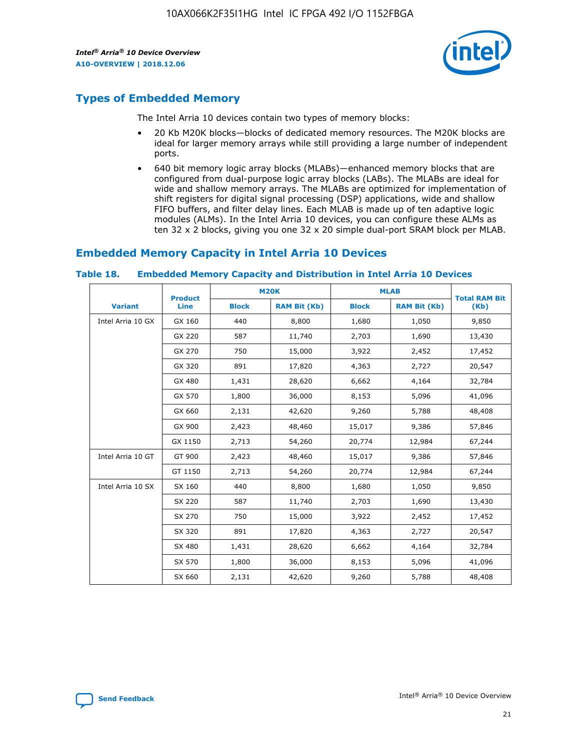

## **Types of Embedded Memory**

The Intel Arria 10 devices contain two types of memory blocks:

- 20 Kb M20K blocks—blocks of dedicated memory resources. The M20K blocks are ideal for larger memory arrays while still providing a large number of independent ports.
- 640 bit memory logic array blocks (MLABs)—enhanced memory blocks that are configured from dual-purpose logic array blocks (LABs). The MLABs are ideal for wide and shallow memory arrays. The MLABs are optimized for implementation of shift registers for digital signal processing (DSP) applications, wide and shallow FIFO buffers, and filter delay lines. Each MLAB is made up of ten adaptive logic modules (ALMs). In the Intel Arria 10 devices, you can configure these ALMs as ten 32 x 2 blocks, giving you one 32 x 20 simple dual-port SRAM block per MLAB.

## **Embedded Memory Capacity in Intel Arria 10 Devices**

|                   | <b>Product</b> |              | <b>M20K</b>         | <b>MLAB</b>  |                     | <b>Total RAM Bit</b> |
|-------------------|----------------|--------------|---------------------|--------------|---------------------|----------------------|
| <b>Variant</b>    | <b>Line</b>    | <b>Block</b> | <b>RAM Bit (Kb)</b> | <b>Block</b> | <b>RAM Bit (Kb)</b> | (Kb)                 |
| Intel Arria 10 GX | GX 160         | 440          | 8,800               | 1,680        | 1,050               | 9,850                |
|                   | GX 220         | 587          | 11,740              | 2,703        | 1,690               | 13,430               |
|                   | GX 270         | 750          | 15,000              | 3,922        | 2,452               | 17,452               |
|                   | GX 320         | 891          | 17,820              | 4,363        | 2,727               | 20,547               |
|                   | GX 480         | 1,431        | 28,620              | 6,662        | 4,164               | 32,784               |
|                   | GX 570         | 1,800        | 36,000              | 8,153        | 5,096               | 41,096               |
|                   | GX 660         | 2,131        | 42,620              | 9,260        | 5,788               | 48,408               |
|                   | GX 900         | 2,423        | 48,460              | 15,017       | 9,386               | 57,846               |
|                   | GX 1150        | 2,713        | 54,260              | 20,774       | 12,984              | 67,244               |
| Intel Arria 10 GT | GT 900         | 2,423        | 48,460              | 15,017       | 9,386               | 57,846               |
|                   | GT 1150        | 2,713        | 54,260              | 20,774       | 12,984              | 67,244               |
| Intel Arria 10 SX | SX 160         | 440          | 8,800               | 1,680        | 1,050               | 9,850                |
|                   | SX 220         | 587          | 11,740              | 2,703        | 1,690               | 13,430               |
|                   | SX 270         | 750          | 15,000              | 3,922        | 2,452               | 17,452               |
|                   | SX 320         | 891          | 17,820              | 4,363        | 2,727               | 20,547               |
|                   | SX 480         | 1,431        | 28,620              | 6,662        | 4,164               | 32,784               |
|                   | SX 570         | 1,800        | 36,000              | 8,153        | 5,096               | 41,096               |
|                   | SX 660         | 2,131        | 42,620              | 9,260        | 5,788               | 48,408               |

#### **Table 18. Embedded Memory Capacity and Distribution in Intel Arria 10 Devices**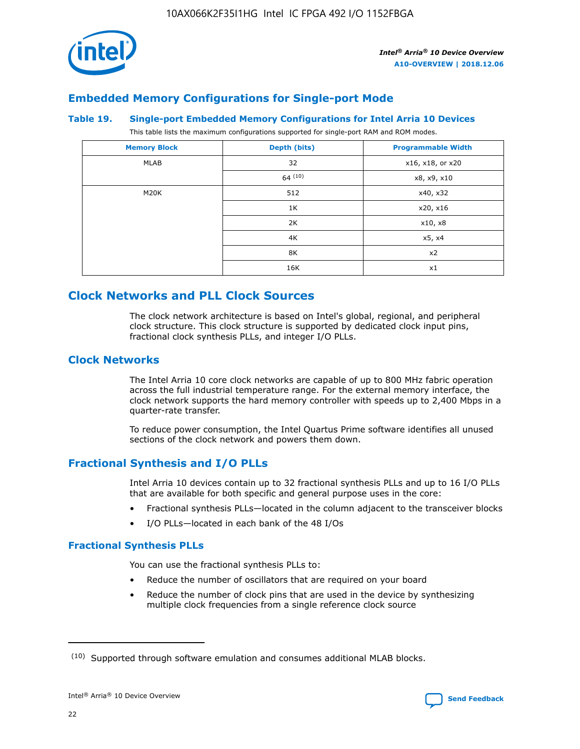

## **Embedded Memory Configurations for Single-port Mode**

### **Table 19. Single-port Embedded Memory Configurations for Intel Arria 10 Devices**

This table lists the maximum configurations supported for single-port RAM and ROM modes.

| <b>Memory Block</b> | Depth (bits) | <b>Programmable Width</b> |
|---------------------|--------------|---------------------------|
| MLAB                | 32           | x16, x18, or x20          |
|                     | 64(10)       | x8, x9, x10               |
| M20K                | 512          | x40, x32                  |
|                     | 1K           | x20, x16                  |
|                     | 2K           | x10, x8                   |
|                     | 4K           | x5, x4                    |
|                     | 8K           | x2                        |
|                     | 16K          | x1                        |

## **Clock Networks and PLL Clock Sources**

The clock network architecture is based on Intel's global, regional, and peripheral clock structure. This clock structure is supported by dedicated clock input pins, fractional clock synthesis PLLs, and integer I/O PLLs.

## **Clock Networks**

The Intel Arria 10 core clock networks are capable of up to 800 MHz fabric operation across the full industrial temperature range. For the external memory interface, the clock network supports the hard memory controller with speeds up to 2,400 Mbps in a quarter-rate transfer.

To reduce power consumption, the Intel Quartus Prime software identifies all unused sections of the clock network and powers them down.

## **Fractional Synthesis and I/O PLLs**

Intel Arria 10 devices contain up to 32 fractional synthesis PLLs and up to 16 I/O PLLs that are available for both specific and general purpose uses in the core:

- Fractional synthesis PLLs—located in the column adjacent to the transceiver blocks
- I/O PLLs—located in each bank of the 48 I/Os

## **Fractional Synthesis PLLs**

You can use the fractional synthesis PLLs to:

- Reduce the number of oscillators that are required on your board
- Reduce the number of clock pins that are used in the device by synthesizing multiple clock frequencies from a single reference clock source

<sup>(10)</sup> Supported through software emulation and consumes additional MLAB blocks.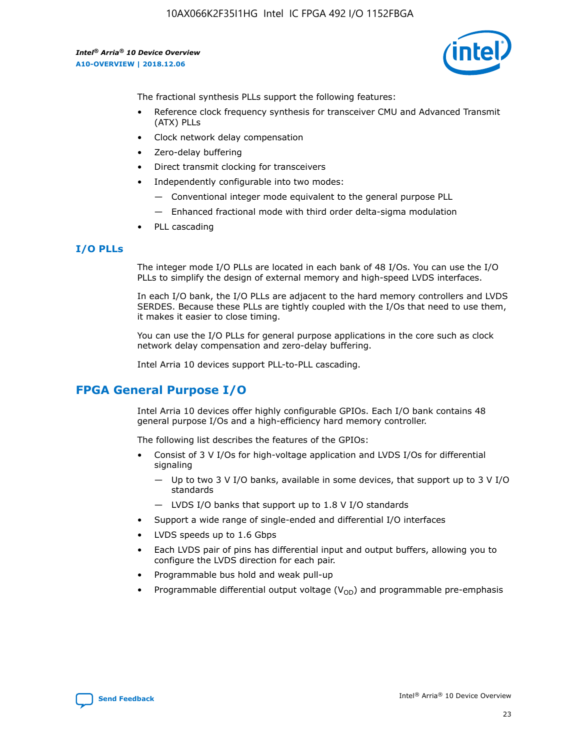

The fractional synthesis PLLs support the following features:

- Reference clock frequency synthesis for transceiver CMU and Advanced Transmit (ATX) PLLs
- Clock network delay compensation
- Zero-delay buffering
- Direct transmit clocking for transceivers
- Independently configurable into two modes:
	- Conventional integer mode equivalent to the general purpose PLL
	- Enhanced fractional mode with third order delta-sigma modulation
- PLL cascading

### **I/O PLLs**

The integer mode I/O PLLs are located in each bank of 48 I/Os. You can use the I/O PLLs to simplify the design of external memory and high-speed LVDS interfaces.

In each I/O bank, the I/O PLLs are adjacent to the hard memory controllers and LVDS SERDES. Because these PLLs are tightly coupled with the I/Os that need to use them, it makes it easier to close timing.

You can use the I/O PLLs for general purpose applications in the core such as clock network delay compensation and zero-delay buffering.

Intel Arria 10 devices support PLL-to-PLL cascading.

## **FPGA General Purpose I/O**

Intel Arria 10 devices offer highly configurable GPIOs. Each I/O bank contains 48 general purpose I/Os and a high-efficiency hard memory controller.

The following list describes the features of the GPIOs:

- Consist of 3 V I/Os for high-voltage application and LVDS I/Os for differential signaling
	- Up to two 3 V I/O banks, available in some devices, that support up to 3 V I/O standards
	- LVDS I/O banks that support up to 1.8 V I/O standards
- Support a wide range of single-ended and differential I/O interfaces
- LVDS speeds up to 1.6 Gbps
- Each LVDS pair of pins has differential input and output buffers, allowing you to configure the LVDS direction for each pair.
- Programmable bus hold and weak pull-up
- Programmable differential output voltage  $(V_{OD})$  and programmable pre-emphasis

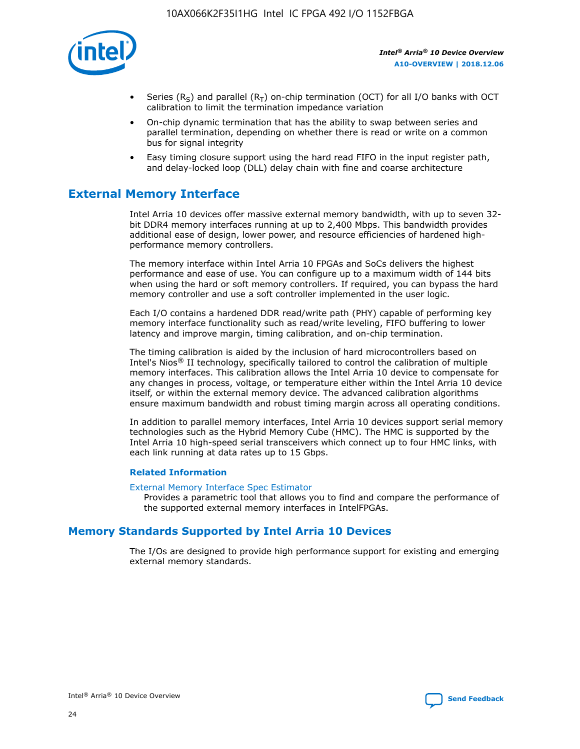

- Series (R<sub>S</sub>) and parallel (R<sub>T</sub>) on-chip termination (OCT) for all I/O banks with OCT calibration to limit the termination impedance variation
- On-chip dynamic termination that has the ability to swap between series and parallel termination, depending on whether there is read or write on a common bus for signal integrity
- Easy timing closure support using the hard read FIFO in the input register path, and delay-locked loop (DLL) delay chain with fine and coarse architecture

# **External Memory Interface**

Intel Arria 10 devices offer massive external memory bandwidth, with up to seven 32 bit DDR4 memory interfaces running at up to 2,400 Mbps. This bandwidth provides additional ease of design, lower power, and resource efficiencies of hardened highperformance memory controllers.

The memory interface within Intel Arria 10 FPGAs and SoCs delivers the highest performance and ease of use. You can configure up to a maximum width of 144 bits when using the hard or soft memory controllers. If required, you can bypass the hard memory controller and use a soft controller implemented in the user logic.

Each I/O contains a hardened DDR read/write path (PHY) capable of performing key memory interface functionality such as read/write leveling, FIFO buffering to lower latency and improve margin, timing calibration, and on-chip termination.

The timing calibration is aided by the inclusion of hard microcontrollers based on Intel's Nios® II technology, specifically tailored to control the calibration of multiple memory interfaces. This calibration allows the Intel Arria 10 device to compensate for any changes in process, voltage, or temperature either within the Intel Arria 10 device itself, or within the external memory device. The advanced calibration algorithms ensure maximum bandwidth and robust timing margin across all operating conditions.

In addition to parallel memory interfaces, Intel Arria 10 devices support serial memory technologies such as the Hybrid Memory Cube (HMC). The HMC is supported by the Intel Arria 10 high-speed serial transceivers which connect up to four HMC links, with each link running at data rates up to 15 Gbps.

### **Related Information**

#### [External Memory Interface Spec Estimator](http://www.altera.com/technology/memory/estimator/mem-emif-index.html)

Provides a parametric tool that allows you to find and compare the performance of the supported external memory interfaces in IntelFPGAs.

## **Memory Standards Supported by Intel Arria 10 Devices**

The I/Os are designed to provide high performance support for existing and emerging external memory standards.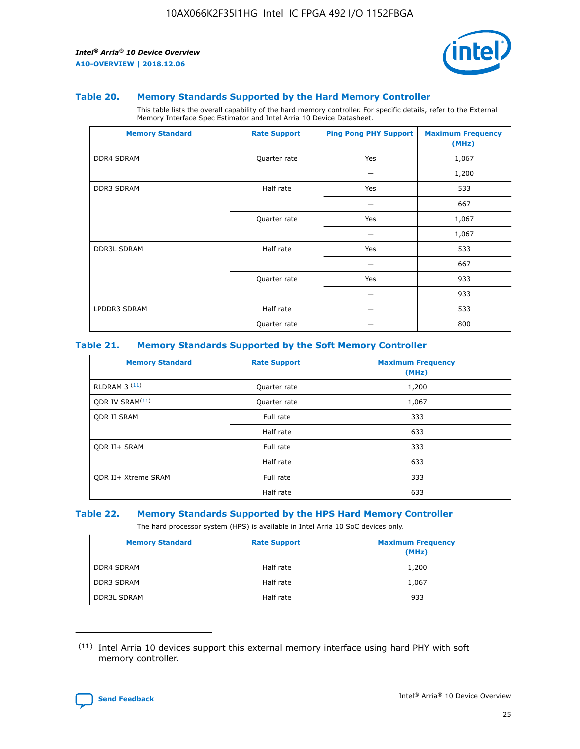

#### **Table 20. Memory Standards Supported by the Hard Memory Controller**

This table lists the overall capability of the hard memory controller. For specific details, refer to the External Memory Interface Spec Estimator and Intel Arria 10 Device Datasheet.

| <b>Memory Standard</b> | <b>Rate Support</b> | <b>Ping Pong PHY Support</b> | <b>Maximum Frequency</b><br>(MHz) |
|------------------------|---------------------|------------------------------|-----------------------------------|
| <b>DDR4 SDRAM</b>      | Quarter rate        | Yes                          | 1,067                             |
|                        |                     |                              | 1,200                             |
| DDR3 SDRAM             | Half rate           | Yes                          | 533                               |
|                        |                     |                              | 667                               |
|                        | Quarter rate        | Yes                          | 1,067                             |
|                        |                     |                              | 1,067                             |
| <b>DDR3L SDRAM</b>     | Half rate           | Yes                          | 533                               |
|                        |                     |                              | 667                               |
|                        | Quarter rate        | Yes                          | 933                               |
|                        |                     |                              | 933                               |
| LPDDR3 SDRAM           | Half rate           |                              | 533                               |
|                        | Quarter rate        |                              | 800                               |

### **Table 21. Memory Standards Supported by the Soft Memory Controller**

| <b>Memory Standard</b>      | <b>Rate Support</b> | <b>Maximum Frequency</b><br>(MHz) |
|-----------------------------|---------------------|-----------------------------------|
| <b>RLDRAM 3 (11)</b>        | Quarter rate        | 1,200                             |
| ODR IV SRAM <sup>(11)</sup> | Quarter rate        | 1,067                             |
| <b>ODR II SRAM</b>          | Full rate           | 333                               |
|                             | Half rate           | 633                               |
| <b>ODR II+ SRAM</b>         | Full rate           | 333                               |
|                             | Half rate           | 633                               |
| <b>ODR II+ Xtreme SRAM</b>  | Full rate           | 333                               |
|                             | Half rate           | 633                               |

#### **Table 22. Memory Standards Supported by the HPS Hard Memory Controller**

The hard processor system (HPS) is available in Intel Arria 10 SoC devices only.

| <b>Memory Standard</b> | <b>Rate Support</b> | <b>Maximum Frequency</b><br>(MHz) |
|------------------------|---------------------|-----------------------------------|
| <b>DDR4 SDRAM</b>      | Half rate           | 1,200                             |
| <b>DDR3 SDRAM</b>      | Half rate           | 1,067                             |
| <b>DDR3L SDRAM</b>     | Half rate           | 933                               |

<sup>(11)</sup> Intel Arria 10 devices support this external memory interface using hard PHY with soft memory controller.

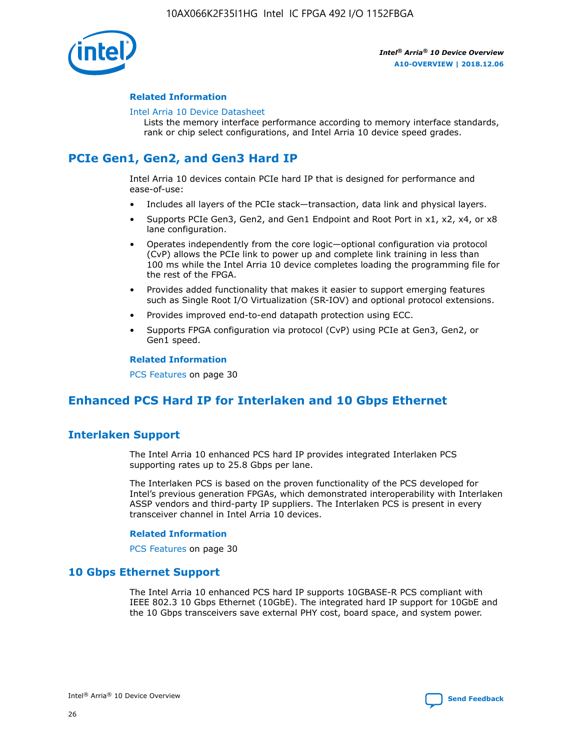

### **Related Information**

#### [Intel Arria 10 Device Datasheet](https://www.intel.com/content/www/us/en/programmable/documentation/mcn1413182292568.html#mcn1413182153340)

Lists the memory interface performance according to memory interface standards, rank or chip select configurations, and Intel Arria 10 device speed grades.

# **PCIe Gen1, Gen2, and Gen3 Hard IP**

Intel Arria 10 devices contain PCIe hard IP that is designed for performance and ease-of-use:

- Includes all layers of the PCIe stack—transaction, data link and physical layers.
- Supports PCIe Gen3, Gen2, and Gen1 Endpoint and Root Port in x1, x2, x4, or x8 lane configuration.
- Operates independently from the core logic—optional configuration via protocol (CvP) allows the PCIe link to power up and complete link training in less than 100 ms while the Intel Arria 10 device completes loading the programming file for the rest of the FPGA.
- Provides added functionality that makes it easier to support emerging features such as Single Root I/O Virtualization (SR-IOV) and optional protocol extensions.
- Provides improved end-to-end datapath protection using ECC.
- Supports FPGA configuration via protocol (CvP) using PCIe at Gen3, Gen2, or Gen1 speed.

#### **Related Information**

PCS Features on page 30

# **Enhanced PCS Hard IP for Interlaken and 10 Gbps Ethernet**

## **Interlaken Support**

The Intel Arria 10 enhanced PCS hard IP provides integrated Interlaken PCS supporting rates up to 25.8 Gbps per lane.

The Interlaken PCS is based on the proven functionality of the PCS developed for Intel's previous generation FPGAs, which demonstrated interoperability with Interlaken ASSP vendors and third-party IP suppliers. The Interlaken PCS is present in every transceiver channel in Intel Arria 10 devices.

### **Related Information**

PCS Features on page 30

## **10 Gbps Ethernet Support**

The Intel Arria 10 enhanced PCS hard IP supports 10GBASE-R PCS compliant with IEEE 802.3 10 Gbps Ethernet (10GbE). The integrated hard IP support for 10GbE and the 10 Gbps transceivers save external PHY cost, board space, and system power.

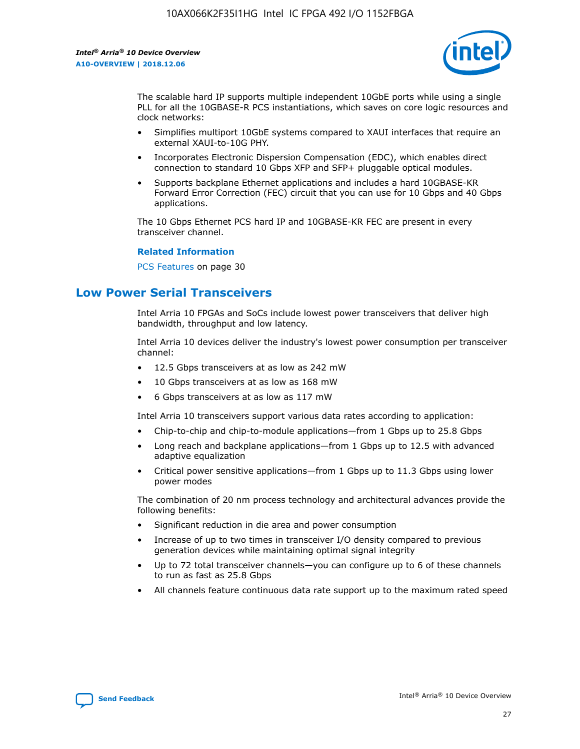

The scalable hard IP supports multiple independent 10GbE ports while using a single PLL for all the 10GBASE-R PCS instantiations, which saves on core logic resources and clock networks:

- Simplifies multiport 10GbE systems compared to XAUI interfaces that require an external XAUI-to-10G PHY.
- Incorporates Electronic Dispersion Compensation (EDC), which enables direct connection to standard 10 Gbps XFP and SFP+ pluggable optical modules.
- Supports backplane Ethernet applications and includes a hard 10GBASE-KR Forward Error Correction (FEC) circuit that you can use for 10 Gbps and 40 Gbps applications.

The 10 Gbps Ethernet PCS hard IP and 10GBASE-KR FEC are present in every transceiver channel.

#### **Related Information**

PCS Features on page 30

# **Low Power Serial Transceivers**

Intel Arria 10 FPGAs and SoCs include lowest power transceivers that deliver high bandwidth, throughput and low latency.

Intel Arria 10 devices deliver the industry's lowest power consumption per transceiver channel:

- 12.5 Gbps transceivers at as low as 242 mW
- 10 Gbps transceivers at as low as 168 mW
- 6 Gbps transceivers at as low as 117 mW

Intel Arria 10 transceivers support various data rates according to application:

- Chip-to-chip and chip-to-module applications—from 1 Gbps up to 25.8 Gbps
- Long reach and backplane applications—from 1 Gbps up to 12.5 with advanced adaptive equalization
- Critical power sensitive applications—from 1 Gbps up to 11.3 Gbps using lower power modes

The combination of 20 nm process technology and architectural advances provide the following benefits:

- Significant reduction in die area and power consumption
- Increase of up to two times in transceiver I/O density compared to previous generation devices while maintaining optimal signal integrity
- Up to 72 total transceiver channels—you can configure up to 6 of these channels to run as fast as 25.8 Gbps
- All channels feature continuous data rate support up to the maximum rated speed

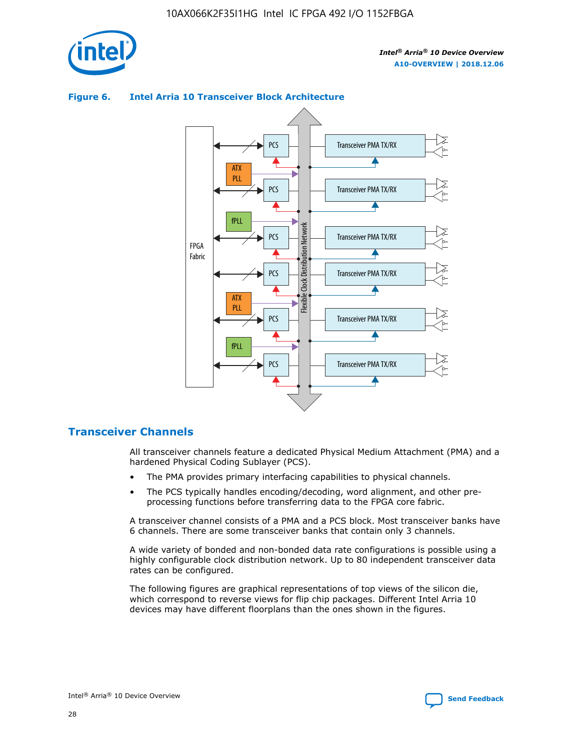

## **Figure 6. Intel Arria 10 Transceiver Block Architecture**



## **Transceiver Channels**

All transceiver channels feature a dedicated Physical Medium Attachment (PMA) and a hardened Physical Coding Sublayer (PCS).

- The PMA provides primary interfacing capabilities to physical channels.
- The PCS typically handles encoding/decoding, word alignment, and other preprocessing functions before transferring data to the FPGA core fabric.

A transceiver channel consists of a PMA and a PCS block. Most transceiver banks have 6 channels. There are some transceiver banks that contain only 3 channels.

A wide variety of bonded and non-bonded data rate configurations is possible using a highly configurable clock distribution network. Up to 80 independent transceiver data rates can be configured.

The following figures are graphical representations of top views of the silicon die, which correspond to reverse views for flip chip packages. Different Intel Arria 10 devices may have different floorplans than the ones shown in the figures.

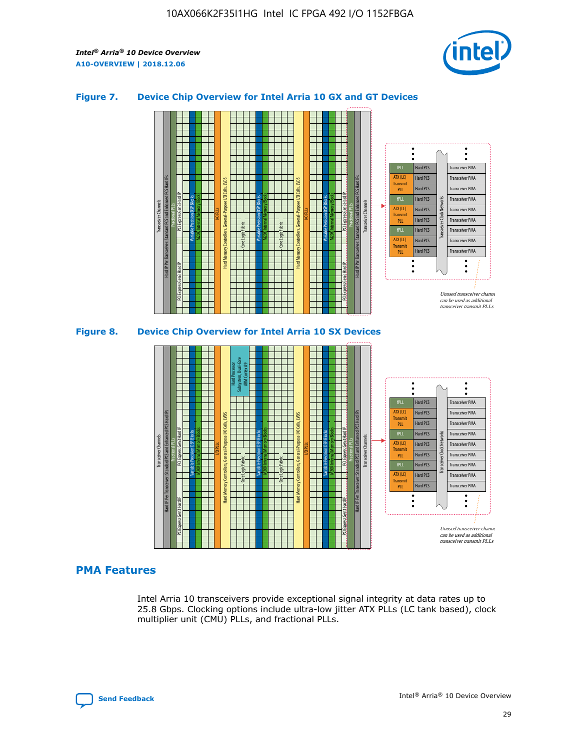

## **Figure 7. Device Chip Overview for Intel Arria 10 GX and GT Devices**



M20K Internal Memory Blocks Core Logic Fabric Transceiver Channels Hard IP Per Transceiver: Standard PCS and Enhanced PCS Hard IPs PCI Express Gen3 Hard IP Fractional PLLs M20K Internal Memory Blocks PCI Express Gen3 Hard IP Variable Precision DSP Blocks I/O PLLs Hard Memory Controllers, General-Purpose I/O Cells, LVDS Hard Processor Subsystem, Dual-Core ARM Cortex A9 M20K Internal Memory Blocks Variable Precision DSP Blocks M20K Internal Memory Blocks Core Logic Fabric I/O PLLs Hard Memory Controllers, General-Purpose I/O Cells, LVDS M20K Internal Memory Blocks Variable Precision DSP Blocks M20K Internal Memory Blocks Transceiver Channels Hard IP Per Transceiver: Standard PCS and Enhanced PCS Hard IPs PCI Express Gen3 Hard IP Fractional PLLs PCI Express Gen3 Hard IP Hard PCS Hard PCS Hard PCS Hard PCS Hard PCS Hard PCS Hard PCS Hard PCS Transceiver PMA Transceiver PMA Transceiver PMA Transceiver PMA Transceiver PMA Transceiver PMA Unused transceiver chann can be used as additional transceiver transmit PLLs Transceiver PMA Transceiver PMA Transceiver Clock Networks ATX (LC) **Transmit** PLL fPLL ATX (LC) Transmi PLL fPLL ATX (LC) **Transmit** PLL

## **PMA Features**

Intel Arria 10 transceivers provide exceptional signal integrity at data rates up to 25.8 Gbps. Clocking options include ultra-low jitter ATX PLLs (LC tank based), clock multiplier unit (CMU) PLLs, and fractional PLLs.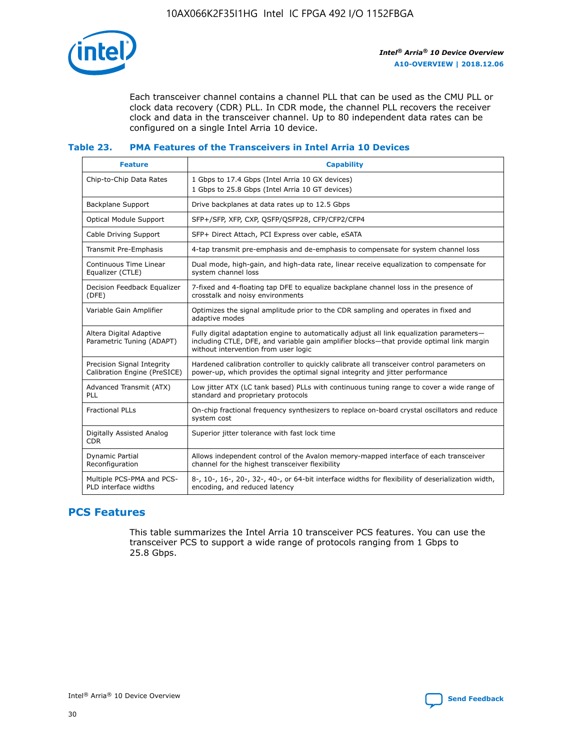

Each transceiver channel contains a channel PLL that can be used as the CMU PLL or clock data recovery (CDR) PLL. In CDR mode, the channel PLL recovers the receiver clock and data in the transceiver channel. Up to 80 independent data rates can be configured on a single Intel Arria 10 device.

### **Table 23. PMA Features of the Transceivers in Intel Arria 10 Devices**

| <b>Feature</b>                                             | <b>Capability</b>                                                                                                                                                                                                             |
|------------------------------------------------------------|-------------------------------------------------------------------------------------------------------------------------------------------------------------------------------------------------------------------------------|
| Chip-to-Chip Data Rates                                    | 1 Gbps to 17.4 Gbps (Intel Arria 10 GX devices)<br>1 Gbps to 25.8 Gbps (Intel Arria 10 GT devices)                                                                                                                            |
| <b>Backplane Support</b>                                   | Drive backplanes at data rates up to 12.5 Gbps                                                                                                                                                                                |
| <b>Optical Module Support</b>                              | SFP+/SFP, XFP, CXP, QSFP/QSFP28, CFP/CFP2/CFP4                                                                                                                                                                                |
| Cable Driving Support                                      | SFP+ Direct Attach, PCI Express over cable, eSATA                                                                                                                                                                             |
| Transmit Pre-Emphasis                                      | 4-tap transmit pre-emphasis and de-emphasis to compensate for system channel loss                                                                                                                                             |
| Continuous Time Linear<br>Equalizer (CTLE)                 | Dual mode, high-gain, and high-data rate, linear receive equalization to compensate for<br>system channel loss                                                                                                                |
| Decision Feedback Equalizer<br>(DFE)                       | 7-fixed and 4-floating tap DFE to equalize backplane channel loss in the presence of<br>crosstalk and noisy environments                                                                                                      |
| Variable Gain Amplifier                                    | Optimizes the signal amplitude prior to the CDR sampling and operates in fixed and<br>adaptive modes                                                                                                                          |
| Altera Digital Adaptive<br>Parametric Tuning (ADAPT)       | Fully digital adaptation engine to automatically adjust all link equalization parameters-<br>including CTLE, DFE, and variable gain amplifier blocks—that provide optimal link margin<br>without intervention from user logic |
| Precision Signal Integrity<br>Calibration Engine (PreSICE) | Hardened calibration controller to quickly calibrate all transceiver control parameters on<br>power-up, which provides the optimal signal integrity and jitter performance                                                    |
| Advanced Transmit (ATX)<br><b>PLL</b>                      | Low jitter ATX (LC tank based) PLLs with continuous tuning range to cover a wide range of<br>standard and proprietary protocols                                                                                               |
| <b>Fractional PLLs</b>                                     | On-chip fractional frequency synthesizers to replace on-board crystal oscillators and reduce<br>system cost                                                                                                                   |
| Digitally Assisted Analog<br><b>CDR</b>                    | Superior jitter tolerance with fast lock time                                                                                                                                                                                 |
| Dynamic Partial<br>Reconfiguration                         | Allows independent control of the Avalon memory-mapped interface of each transceiver<br>channel for the highest transceiver flexibility                                                                                       |
| Multiple PCS-PMA and PCS-<br>PLD interface widths          | 8-, 10-, 16-, 20-, 32-, 40-, or 64-bit interface widths for flexibility of deserialization width,<br>encoding, and reduced latency                                                                                            |

## **PCS Features**

This table summarizes the Intel Arria 10 transceiver PCS features. You can use the transceiver PCS to support a wide range of protocols ranging from 1 Gbps to 25.8 Gbps.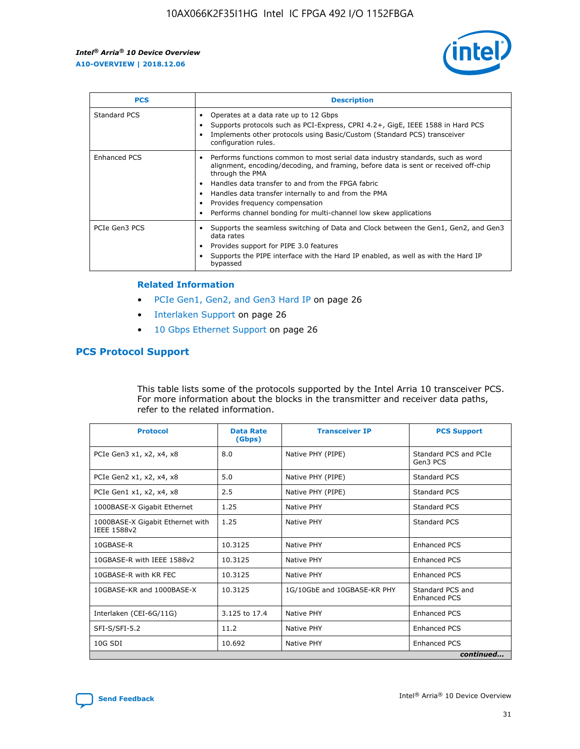

| <b>PCS</b>          | <b>Description</b>                                                                                                                                                                                                                                                                                                                                                                                             |
|---------------------|----------------------------------------------------------------------------------------------------------------------------------------------------------------------------------------------------------------------------------------------------------------------------------------------------------------------------------------------------------------------------------------------------------------|
| Standard PCS        | Operates at a data rate up to 12 Gbps<br>Supports protocols such as PCI-Express, CPRI 4.2+, GigE, IEEE 1588 in Hard PCS<br>Implements other protocols using Basic/Custom (Standard PCS) transceiver<br>configuration rules.                                                                                                                                                                                    |
| <b>Enhanced PCS</b> | Performs functions common to most serial data industry standards, such as word<br>alignment, encoding/decoding, and framing, before data is sent or received off-chip<br>through the PMA<br>• Handles data transfer to and from the FPGA fabric<br>Handles data transfer internally to and from the PMA<br>Provides frequency compensation<br>Performs channel bonding for multi-channel low skew applications |
| PCIe Gen3 PCS       | Supports the seamless switching of Data and Clock between the Gen1, Gen2, and Gen3<br>data rates<br>Provides support for PIPE 3.0 features<br>Supports the PIPE interface with the Hard IP enabled, as well as with the Hard IP<br>bypassed                                                                                                                                                                    |

#### **Related Information**

- PCIe Gen1, Gen2, and Gen3 Hard IP on page 26
- Interlaken Support on page 26
- 10 Gbps Ethernet Support on page 26

## **PCS Protocol Support**

This table lists some of the protocols supported by the Intel Arria 10 transceiver PCS. For more information about the blocks in the transmitter and receiver data paths, refer to the related information.

| <b>Protocol</b>                                 | <b>Data Rate</b><br>(Gbps) | <b>Transceiver IP</b>       | <b>PCS Support</b>                      |
|-------------------------------------------------|----------------------------|-----------------------------|-----------------------------------------|
| PCIe Gen3 x1, x2, x4, x8                        | 8.0                        | Native PHY (PIPE)           | Standard PCS and PCIe<br>Gen3 PCS       |
| PCIe Gen2 x1, x2, x4, x8                        | 5.0                        | Native PHY (PIPE)           | <b>Standard PCS</b>                     |
| PCIe Gen1 x1, x2, x4, x8                        | 2.5                        | Native PHY (PIPE)           | Standard PCS                            |
| 1000BASE-X Gigabit Ethernet                     | 1.25                       | Native PHY                  | <b>Standard PCS</b>                     |
| 1000BASE-X Gigabit Ethernet with<br>IEEE 1588v2 | 1.25                       | Native PHY                  | Standard PCS                            |
| 10GBASE-R                                       | 10.3125                    | Native PHY                  | <b>Enhanced PCS</b>                     |
| 10GBASE-R with IEEE 1588v2                      | 10.3125                    | Native PHY                  | <b>Enhanced PCS</b>                     |
| 10GBASE-R with KR FEC                           | 10.3125                    | Native PHY                  | <b>Enhanced PCS</b>                     |
| 10GBASE-KR and 1000BASE-X                       | 10.3125                    | 1G/10GbE and 10GBASE-KR PHY | Standard PCS and<br><b>Enhanced PCS</b> |
| Interlaken (CEI-6G/11G)                         | 3.125 to 17.4              | Native PHY                  | <b>Enhanced PCS</b>                     |
| SFI-S/SFI-5.2                                   | 11.2                       | Native PHY                  | <b>Enhanced PCS</b>                     |
| $10G$ SDI                                       | 10.692                     | Native PHY                  | <b>Enhanced PCS</b>                     |
|                                                 |                            |                             | continued                               |

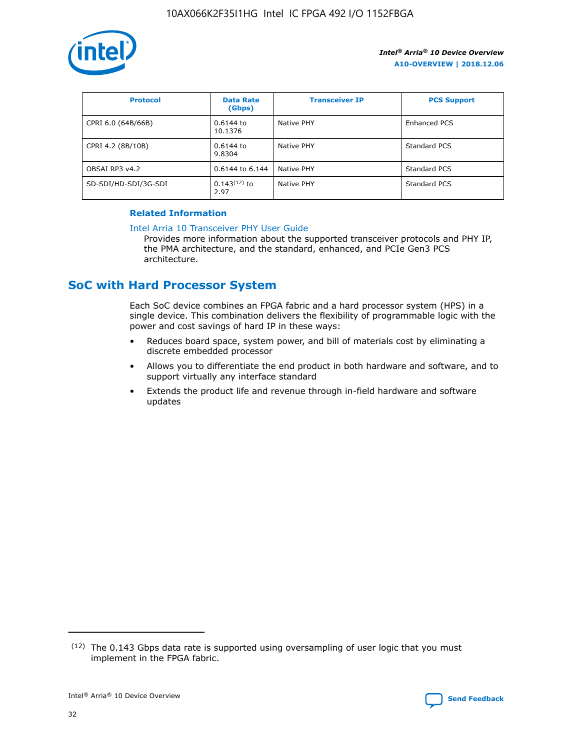

| <b>Protocol</b>      | <b>Data Rate</b><br>(Gbps) | <b>Transceiver IP</b> | <b>PCS Support</b> |
|----------------------|----------------------------|-----------------------|--------------------|
| CPRI 6.0 (64B/66B)   | 0.6144 to<br>10.1376       | Native PHY            | Enhanced PCS       |
| CPRI 4.2 (8B/10B)    | 0.6144 to<br>9.8304        | Native PHY            | Standard PCS       |
| OBSAI RP3 v4.2       | 0.6144 to 6.144            | Native PHY            | Standard PCS       |
| SD-SDI/HD-SDI/3G-SDI | $0.143(12)$ to<br>2.97     | Native PHY            | Standard PCS       |

## **Related Information**

#### [Intel Arria 10 Transceiver PHY User Guide](https://www.intel.com/content/www/us/en/programmable/documentation/nik1398707230472.html#nik1398707091164)

Provides more information about the supported transceiver protocols and PHY IP, the PMA architecture, and the standard, enhanced, and PCIe Gen3 PCS architecture.

# **SoC with Hard Processor System**

Each SoC device combines an FPGA fabric and a hard processor system (HPS) in a single device. This combination delivers the flexibility of programmable logic with the power and cost savings of hard IP in these ways:

- Reduces board space, system power, and bill of materials cost by eliminating a discrete embedded processor
- Allows you to differentiate the end product in both hardware and software, and to support virtually any interface standard
- Extends the product life and revenue through in-field hardware and software updates

 $(12)$  The 0.143 Gbps data rate is supported using oversampling of user logic that you must implement in the FPGA fabric.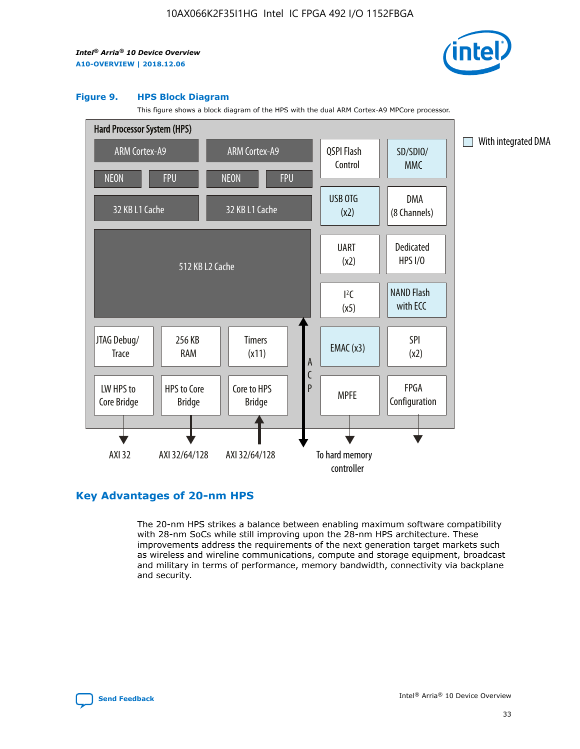

#### **Figure 9. HPS Block Diagram**

This figure shows a block diagram of the HPS with the dual ARM Cortex-A9 MPCore processor.



## **Key Advantages of 20-nm HPS**

The 20-nm HPS strikes a balance between enabling maximum software compatibility with 28-nm SoCs while still improving upon the 28-nm HPS architecture. These improvements address the requirements of the next generation target markets such as wireless and wireline communications, compute and storage equipment, broadcast and military in terms of performance, memory bandwidth, connectivity via backplane and security.

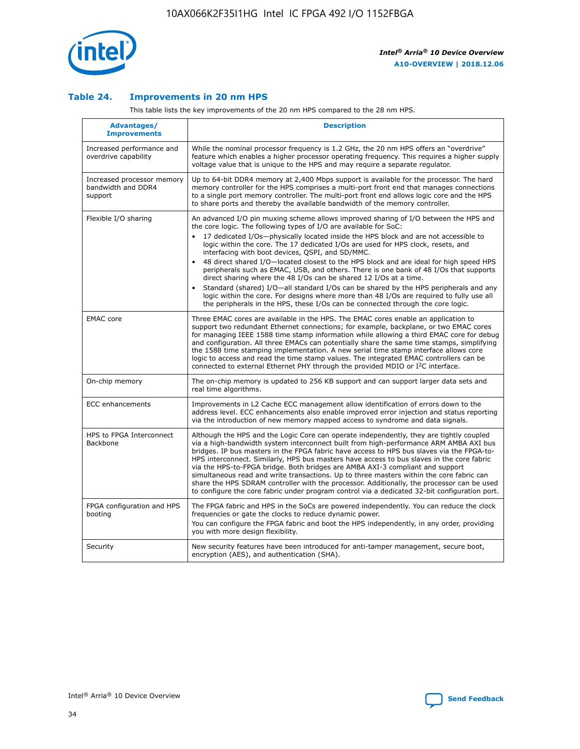

## **Table 24. Improvements in 20 nm HPS**

This table lists the key improvements of the 20 nm HPS compared to the 28 nm HPS.

| Advantages/<br><b>Improvements</b>                          | <b>Description</b>                                                                                                                                                                                                                                                                                                                                                                                                                                                                                                                                                                                                                                                                                                                                                                                                                                                                                                                   |
|-------------------------------------------------------------|--------------------------------------------------------------------------------------------------------------------------------------------------------------------------------------------------------------------------------------------------------------------------------------------------------------------------------------------------------------------------------------------------------------------------------------------------------------------------------------------------------------------------------------------------------------------------------------------------------------------------------------------------------------------------------------------------------------------------------------------------------------------------------------------------------------------------------------------------------------------------------------------------------------------------------------|
| Increased performance and<br>overdrive capability           | While the nominal processor frequency is 1.2 GHz, the 20 nm HPS offers an "overdrive"<br>feature which enables a higher processor operating frequency. This requires a higher supply<br>voltage value that is unique to the HPS and may require a separate requlator.                                                                                                                                                                                                                                                                                                                                                                                                                                                                                                                                                                                                                                                                |
| Increased processor memory<br>bandwidth and DDR4<br>support | Up to 64-bit DDR4 memory at 2,400 Mbps support is available for the processor. The hard<br>memory controller for the HPS comprises a multi-port front end that manages connections<br>to a single port memory controller. The multi-port front end allows logic core and the HPS<br>to share ports and thereby the available bandwidth of the memory controller.                                                                                                                                                                                                                                                                                                                                                                                                                                                                                                                                                                     |
| Flexible I/O sharing                                        | An advanced I/O pin muxing scheme allows improved sharing of I/O between the HPS and<br>the core logic. The following types of I/O are available for SoC:<br>17 dedicated I/Os-physically located inside the HPS block and are not accessible to<br>logic within the core. The 17 dedicated I/Os are used for HPS clock, resets, and<br>interfacing with boot devices, QSPI, and SD/MMC.<br>48 direct shared I/O-located closest to the HPS block and are ideal for high speed HPS<br>peripherals such as EMAC, USB, and others. There is one bank of 48 I/Os that supports<br>direct sharing where the 48 I/Os can be shared 12 I/Os at a time.<br>Standard (shared) I/O-all standard I/Os can be shared by the HPS peripherals and any<br>$\bullet$<br>logic within the core. For designs where more than 48 I/Os are required to fully use all<br>the peripherals in the HPS, these I/Os can be connected through the core logic. |
| <b>EMAC</b> core                                            | Three EMAC cores are available in the HPS. The EMAC cores enable an application to<br>support two redundant Ethernet connections; for example, backplane, or two EMAC cores<br>for managing IEEE 1588 time stamp information while allowing a third EMAC core for debug<br>and configuration. All three EMACs can potentially share the same time stamps, simplifying<br>the 1588 time stamping implementation. A new serial time stamp interface allows core<br>logic to access and read the time stamp values. The integrated EMAC controllers can be<br>connected to external Ethernet PHY through the provided MDIO or I <sup>2</sup> C interface.                                                                                                                                                                                                                                                                               |
| On-chip memory                                              | The on-chip memory is updated to 256 KB support and can support larger data sets and<br>real time algorithms.                                                                                                                                                                                                                                                                                                                                                                                                                                                                                                                                                                                                                                                                                                                                                                                                                        |
| <b>ECC</b> enhancements                                     | Improvements in L2 Cache ECC management allow identification of errors down to the<br>address level. ECC enhancements also enable improved error injection and status reporting<br>via the introduction of new memory mapped access to syndrome and data signals.                                                                                                                                                                                                                                                                                                                                                                                                                                                                                                                                                                                                                                                                    |
| HPS to FPGA Interconnect<br><b>Backbone</b>                 | Although the HPS and the Logic Core can operate independently, they are tightly coupled<br>via a high-bandwidth system interconnect built from high-performance ARM AMBA AXI bus<br>bridges. IP bus masters in the FPGA fabric have access to HPS bus slaves via the FPGA-to-<br>HPS interconnect. Similarly, HPS bus masters have access to bus slaves in the core fabric<br>via the HPS-to-FPGA bridge. Both bridges are AMBA AXI-3 compliant and support<br>simultaneous read and write transactions. Up to three masters within the core fabric can<br>share the HPS SDRAM controller with the processor. Additionally, the processor can be used<br>to configure the core fabric under program control via a dedicated 32-bit configuration port.                                                                                                                                                                               |
| FPGA configuration and HPS<br>booting                       | The FPGA fabric and HPS in the SoCs are powered independently. You can reduce the clock<br>frequencies or gate the clocks to reduce dynamic power.<br>You can configure the FPGA fabric and boot the HPS independently, in any order, providing<br>you with more design flexibility.                                                                                                                                                                                                                                                                                                                                                                                                                                                                                                                                                                                                                                                 |
| Security                                                    | New security features have been introduced for anti-tamper management, secure boot,<br>encryption (AES), and authentication (SHA).                                                                                                                                                                                                                                                                                                                                                                                                                                                                                                                                                                                                                                                                                                                                                                                                   |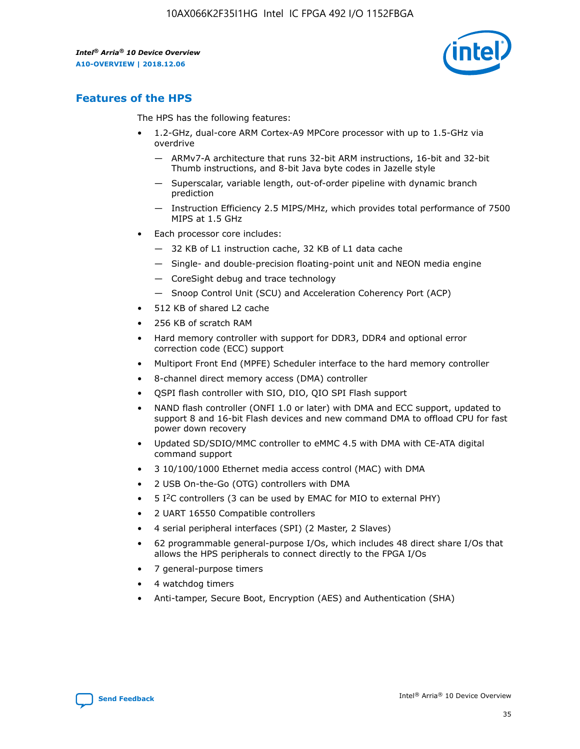

## **Features of the HPS**

The HPS has the following features:

- 1.2-GHz, dual-core ARM Cortex-A9 MPCore processor with up to 1.5-GHz via overdrive
	- ARMv7-A architecture that runs 32-bit ARM instructions, 16-bit and 32-bit Thumb instructions, and 8-bit Java byte codes in Jazelle style
	- Superscalar, variable length, out-of-order pipeline with dynamic branch prediction
	- Instruction Efficiency 2.5 MIPS/MHz, which provides total performance of 7500 MIPS at 1.5 GHz
- Each processor core includes:
	- 32 KB of L1 instruction cache, 32 KB of L1 data cache
	- Single- and double-precision floating-point unit and NEON media engine
	- CoreSight debug and trace technology
	- Snoop Control Unit (SCU) and Acceleration Coherency Port (ACP)
- 512 KB of shared L2 cache
- 256 KB of scratch RAM
- Hard memory controller with support for DDR3, DDR4 and optional error correction code (ECC) support
- Multiport Front End (MPFE) Scheduler interface to the hard memory controller
- 8-channel direct memory access (DMA) controller
- QSPI flash controller with SIO, DIO, QIO SPI Flash support
- NAND flash controller (ONFI 1.0 or later) with DMA and ECC support, updated to support 8 and 16-bit Flash devices and new command DMA to offload CPU for fast power down recovery
- Updated SD/SDIO/MMC controller to eMMC 4.5 with DMA with CE-ATA digital command support
- 3 10/100/1000 Ethernet media access control (MAC) with DMA
- 2 USB On-the-Go (OTG) controllers with DMA
- $\bullet$  5 I<sup>2</sup>C controllers (3 can be used by EMAC for MIO to external PHY)
- 2 UART 16550 Compatible controllers
- 4 serial peripheral interfaces (SPI) (2 Master, 2 Slaves)
- 62 programmable general-purpose I/Os, which includes 48 direct share I/Os that allows the HPS peripherals to connect directly to the FPGA I/Os
- 7 general-purpose timers
- 4 watchdog timers
- Anti-tamper, Secure Boot, Encryption (AES) and Authentication (SHA)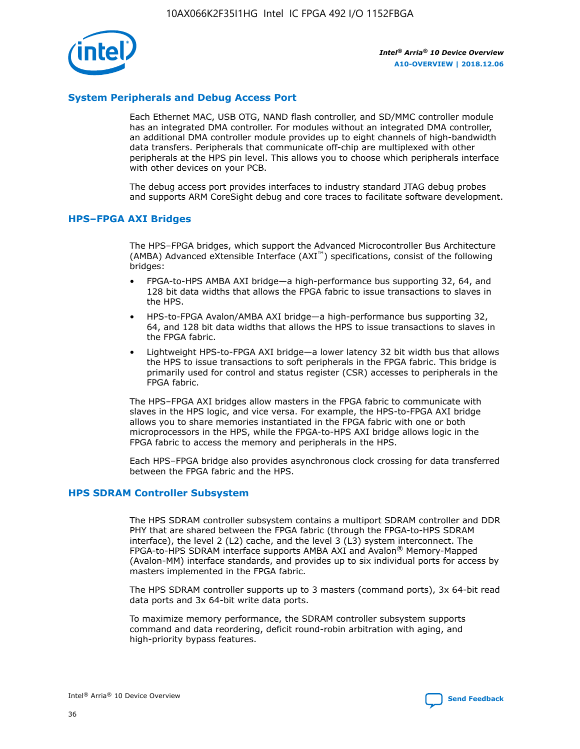

## **System Peripherals and Debug Access Port**

Each Ethernet MAC, USB OTG, NAND flash controller, and SD/MMC controller module has an integrated DMA controller. For modules without an integrated DMA controller, an additional DMA controller module provides up to eight channels of high-bandwidth data transfers. Peripherals that communicate off-chip are multiplexed with other peripherals at the HPS pin level. This allows you to choose which peripherals interface with other devices on your PCB.

The debug access port provides interfaces to industry standard JTAG debug probes and supports ARM CoreSight debug and core traces to facilitate software development.

#### **HPS–FPGA AXI Bridges**

The HPS–FPGA bridges, which support the Advanced Microcontroller Bus Architecture (AMBA) Advanced eXtensible Interface (AXI™) specifications, consist of the following bridges:

- FPGA-to-HPS AMBA AXI bridge—a high-performance bus supporting 32, 64, and 128 bit data widths that allows the FPGA fabric to issue transactions to slaves in the HPS.
- HPS-to-FPGA Avalon/AMBA AXI bridge—a high-performance bus supporting 32, 64, and 128 bit data widths that allows the HPS to issue transactions to slaves in the FPGA fabric.
- Lightweight HPS-to-FPGA AXI bridge—a lower latency 32 bit width bus that allows the HPS to issue transactions to soft peripherals in the FPGA fabric. This bridge is primarily used for control and status register (CSR) accesses to peripherals in the FPGA fabric.

The HPS–FPGA AXI bridges allow masters in the FPGA fabric to communicate with slaves in the HPS logic, and vice versa. For example, the HPS-to-FPGA AXI bridge allows you to share memories instantiated in the FPGA fabric with one or both microprocessors in the HPS, while the FPGA-to-HPS AXI bridge allows logic in the FPGA fabric to access the memory and peripherals in the HPS.

Each HPS–FPGA bridge also provides asynchronous clock crossing for data transferred between the FPGA fabric and the HPS.

#### **HPS SDRAM Controller Subsystem**

The HPS SDRAM controller subsystem contains a multiport SDRAM controller and DDR PHY that are shared between the FPGA fabric (through the FPGA-to-HPS SDRAM interface), the level 2 (L2) cache, and the level 3 (L3) system interconnect. The FPGA-to-HPS SDRAM interface supports AMBA AXI and Avalon® Memory-Mapped (Avalon-MM) interface standards, and provides up to six individual ports for access by masters implemented in the FPGA fabric.

The HPS SDRAM controller supports up to 3 masters (command ports), 3x 64-bit read data ports and 3x 64-bit write data ports.

To maximize memory performance, the SDRAM controller subsystem supports command and data reordering, deficit round-robin arbitration with aging, and high-priority bypass features.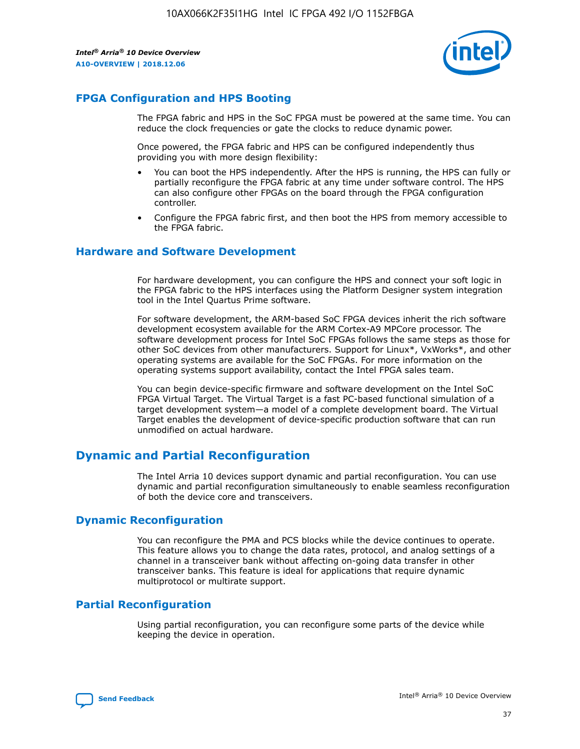

## **FPGA Configuration and HPS Booting**

The FPGA fabric and HPS in the SoC FPGA must be powered at the same time. You can reduce the clock frequencies or gate the clocks to reduce dynamic power.

Once powered, the FPGA fabric and HPS can be configured independently thus providing you with more design flexibility:

- You can boot the HPS independently. After the HPS is running, the HPS can fully or partially reconfigure the FPGA fabric at any time under software control. The HPS can also configure other FPGAs on the board through the FPGA configuration controller.
- Configure the FPGA fabric first, and then boot the HPS from memory accessible to the FPGA fabric.

## **Hardware and Software Development**

For hardware development, you can configure the HPS and connect your soft logic in the FPGA fabric to the HPS interfaces using the Platform Designer system integration tool in the Intel Quartus Prime software.

For software development, the ARM-based SoC FPGA devices inherit the rich software development ecosystem available for the ARM Cortex-A9 MPCore processor. The software development process for Intel SoC FPGAs follows the same steps as those for other SoC devices from other manufacturers. Support for Linux\*, VxWorks\*, and other operating systems are available for the SoC FPGAs. For more information on the operating systems support availability, contact the Intel FPGA sales team.

You can begin device-specific firmware and software development on the Intel SoC FPGA Virtual Target. The Virtual Target is a fast PC-based functional simulation of a target development system—a model of a complete development board. The Virtual Target enables the development of device-specific production software that can run unmodified on actual hardware.

## **Dynamic and Partial Reconfiguration**

The Intel Arria 10 devices support dynamic and partial reconfiguration. You can use dynamic and partial reconfiguration simultaneously to enable seamless reconfiguration of both the device core and transceivers.

## **Dynamic Reconfiguration**

You can reconfigure the PMA and PCS blocks while the device continues to operate. This feature allows you to change the data rates, protocol, and analog settings of a channel in a transceiver bank without affecting on-going data transfer in other transceiver banks. This feature is ideal for applications that require dynamic multiprotocol or multirate support.

## **Partial Reconfiguration**

Using partial reconfiguration, you can reconfigure some parts of the device while keeping the device in operation.

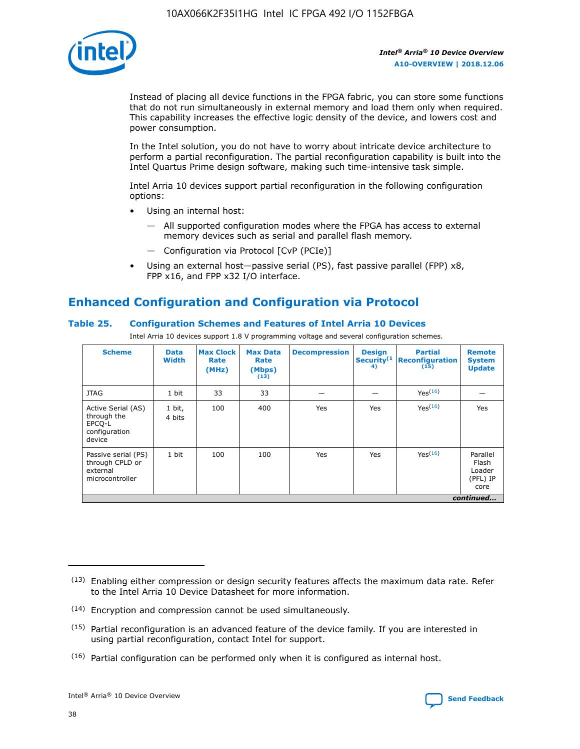

Instead of placing all device functions in the FPGA fabric, you can store some functions that do not run simultaneously in external memory and load them only when required. This capability increases the effective logic density of the device, and lowers cost and power consumption.

In the Intel solution, you do not have to worry about intricate device architecture to perform a partial reconfiguration. The partial reconfiguration capability is built into the Intel Quartus Prime design software, making such time-intensive task simple.

Intel Arria 10 devices support partial reconfiguration in the following configuration options:

- Using an internal host:
	- All supported configuration modes where the FPGA has access to external memory devices such as serial and parallel flash memory.
	- Configuration via Protocol [CvP (PCIe)]
- Using an external host—passive serial (PS), fast passive parallel (FPP) x8, FPP x16, and FPP x32 I/O interface.

# **Enhanced Configuration and Configuration via Protocol**

## **Table 25. Configuration Schemes and Features of Intel Arria 10 Devices**

Intel Arria 10 devices support 1.8 V programming voltage and several configuration schemes.

| <b>Scheme</b>                                                          | <b>Data</b><br><b>Width</b> | <b>Max Clock</b><br>Rate<br>(MHz) | <b>Max Data</b><br>Rate<br>(Mbps)<br>(13) | <b>Decompression</b> | <b>Design</b><br>Security <sup>(1</sup><br>4) | <b>Partial</b><br><b>Reconfiguration</b><br>(15) | <b>Remote</b><br><b>System</b><br><b>Update</b> |
|------------------------------------------------------------------------|-----------------------------|-----------------------------------|-------------------------------------------|----------------------|-----------------------------------------------|--------------------------------------------------|-------------------------------------------------|
| <b>JTAG</b>                                                            | 1 bit                       | 33                                | 33                                        |                      |                                               | Yes(16)                                          |                                                 |
| Active Serial (AS)<br>through the<br>EPCO-L<br>configuration<br>device | 1 bit,<br>4 bits            | 100                               | 400                                       | Yes                  | Yes                                           | $Y_{PS}(16)$                                     | Yes                                             |
| Passive serial (PS)<br>through CPLD or<br>external<br>microcontroller  | 1 bit                       | 100                               | 100                                       | Yes                  | Yes                                           | Yes <sup>(16)</sup>                              | Parallel<br>Flash<br>Loader<br>(PFL) IP<br>core |
|                                                                        |                             |                                   |                                           |                      |                                               |                                                  | continued                                       |

<sup>(13)</sup> Enabling either compression or design security features affects the maximum data rate. Refer to the Intel Arria 10 Device Datasheet for more information.

<sup>(14)</sup> Encryption and compression cannot be used simultaneously.

 $(15)$  Partial reconfiguration is an advanced feature of the device family. If you are interested in using partial reconfiguration, contact Intel for support.

 $(16)$  Partial configuration can be performed only when it is configured as internal host.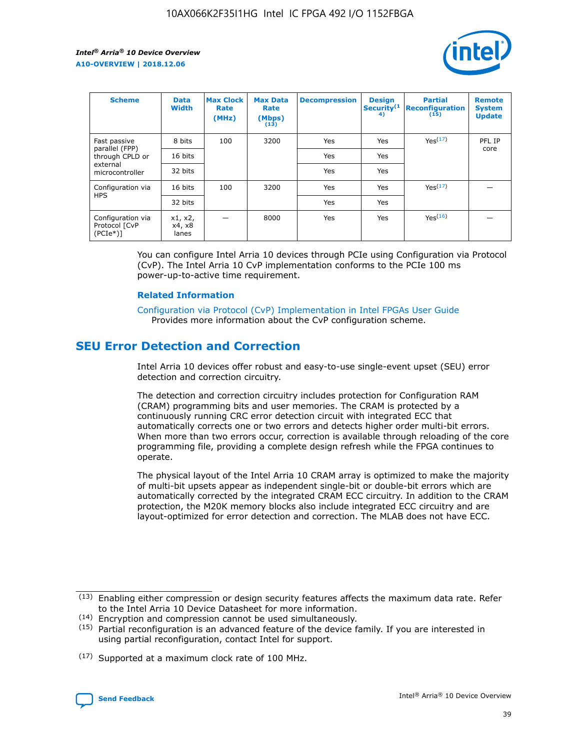

| <b>Scheme</b>                                    | <b>Data</b><br><b>Width</b> | <b>Max Clock</b><br>Rate<br>(MHz) | <b>Max Data</b><br>Rate<br>(Mbps)<br>(13) | <b>Decompression</b> | <b>Design</b><br>Security <sup>(1</sup><br>4) | <b>Partial</b><br><b>Reconfiguration</b><br>(15) | <b>Remote</b><br><b>System</b><br><b>Update</b> |
|--------------------------------------------------|-----------------------------|-----------------------------------|-------------------------------------------|----------------------|-----------------------------------------------|--------------------------------------------------|-------------------------------------------------|
| Fast passive                                     | 8 bits                      | 100                               | 3200                                      | Yes                  | Yes                                           | Yes(17)                                          | PFL IP                                          |
| parallel (FPP)<br>through CPLD or                | 16 bits                     |                                   |                                           | Yes                  | Yes                                           |                                                  | core                                            |
| external<br>microcontroller                      | 32 bits                     |                                   |                                           | Yes                  | Yes                                           |                                                  |                                                 |
| Configuration via                                | 16 bits                     | 100                               | 3200                                      | Yes                  | Yes                                           | Yes <sup>(17)</sup>                              |                                                 |
| <b>HPS</b>                                       | 32 bits                     |                                   |                                           | Yes                  | Yes                                           |                                                  |                                                 |
| Configuration via<br>Protocol [CvP<br>$(PCIe^*)$ | x1, x2,<br>x4, x8<br>lanes  |                                   | 8000                                      | Yes                  | Yes                                           | Yes <sup>(16)</sup>                              |                                                 |

You can configure Intel Arria 10 devices through PCIe using Configuration via Protocol (CvP). The Intel Arria 10 CvP implementation conforms to the PCIe 100 ms power-up-to-active time requirement.

### **Related Information**

[Configuration via Protocol \(CvP\) Implementation in Intel FPGAs User Guide](https://www.intel.com/content/www/us/en/programmable/documentation/dsu1441819344145.html#dsu1442269728522) Provides more information about the CvP configuration scheme.

# **SEU Error Detection and Correction**

Intel Arria 10 devices offer robust and easy-to-use single-event upset (SEU) error detection and correction circuitry.

The detection and correction circuitry includes protection for Configuration RAM (CRAM) programming bits and user memories. The CRAM is protected by a continuously running CRC error detection circuit with integrated ECC that automatically corrects one or two errors and detects higher order multi-bit errors. When more than two errors occur, correction is available through reloading of the core programming file, providing a complete design refresh while the FPGA continues to operate.

The physical layout of the Intel Arria 10 CRAM array is optimized to make the majority of multi-bit upsets appear as independent single-bit or double-bit errors which are automatically corrected by the integrated CRAM ECC circuitry. In addition to the CRAM protection, the M20K memory blocks also include integrated ECC circuitry and are layout-optimized for error detection and correction. The MLAB does not have ECC.

(14) Encryption and compression cannot be used simultaneously.

<sup>(17)</sup> Supported at a maximum clock rate of 100 MHz.



 $(13)$  Enabling either compression or design security features affects the maximum data rate. Refer to the Intel Arria 10 Device Datasheet for more information.

 $(15)$  Partial reconfiguration is an advanced feature of the device family. If you are interested in using partial reconfiguration, contact Intel for support.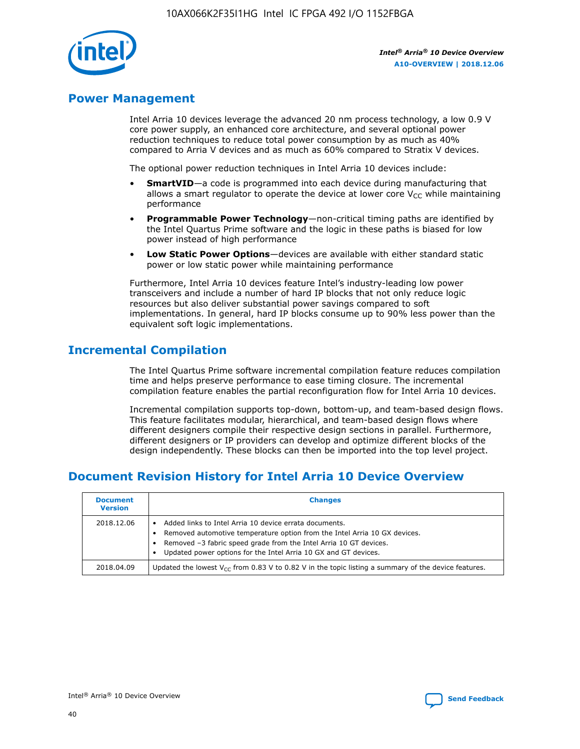

## **Power Management**

Intel Arria 10 devices leverage the advanced 20 nm process technology, a low 0.9 V core power supply, an enhanced core architecture, and several optional power reduction techniques to reduce total power consumption by as much as 40% compared to Arria V devices and as much as 60% compared to Stratix V devices.

The optional power reduction techniques in Intel Arria 10 devices include:

- **SmartVID**—a code is programmed into each device during manufacturing that allows a smart regulator to operate the device at lower core  $V_{CC}$  while maintaining performance
- **Programmable Power Technology**—non-critical timing paths are identified by the Intel Quartus Prime software and the logic in these paths is biased for low power instead of high performance
- **Low Static Power Options**—devices are available with either standard static power or low static power while maintaining performance

Furthermore, Intel Arria 10 devices feature Intel's industry-leading low power transceivers and include a number of hard IP blocks that not only reduce logic resources but also deliver substantial power savings compared to soft implementations. In general, hard IP blocks consume up to 90% less power than the equivalent soft logic implementations.

# **Incremental Compilation**

The Intel Quartus Prime software incremental compilation feature reduces compilation time and helps preserve performance to ease timing closure. The incremental compilation feature enables the partial reconfiguration flow for Intel Arria 10 devices.

Incremental compilation supports top-down, bottom-up, and team-based design flows. This feature facilitates modular, hierarchical, and team-based design flows where different designers compile their respective design sections in parallel. Furthermore, different designers or IP providers can develop and optimize different blocks of the design independently. These blocks can then be imported into the top level project.

# **Document Revision History for Intel Arria 10 Device Overview**

| <b>Document</b><br><b>Version</b> | <b>Changes</b>                                                                                                                                                                                                                                                              |
|-----------------------------------|-----------------------------------------------------------------------------------------------------------------------------------------------------------------------------------------------------------------------------------------------------------------------------|
| 2018.12.06                        | Added links to Intel Arria 10 device errata documents.<br>Removed automotive temperature option from the Intel Arria 10 GX devices.<br>Removed -3 fabric speed grade from the Intel Arria 10 GT devices.<br>Updated power options for the Intel Arria 10 GX and GT devices. |
| 2018.04.09                        | Updated the lowest $V_{CC}$ from 0.83 V to 0.82 V in the topic listing a summary of the device features.                                                                                                                                                                    |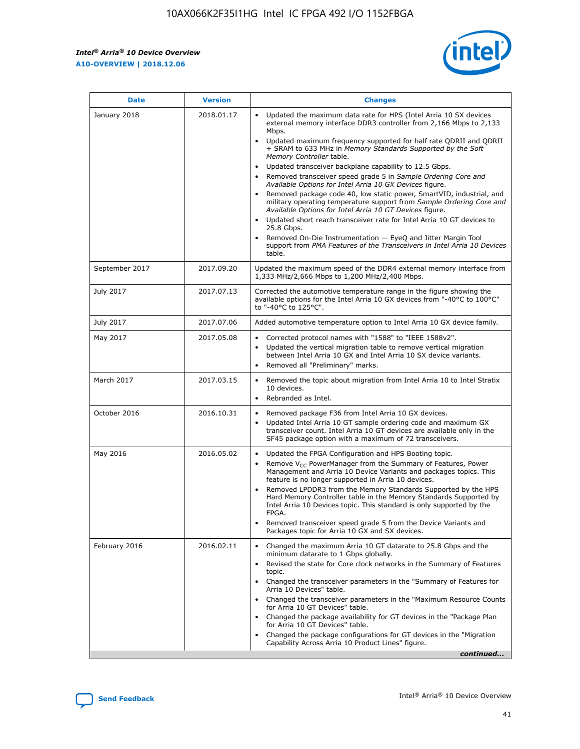*Intel® Arria® 10 Device Overview* **A10-OVERVIEW | 2018.12.06**



| <b>Date</b>    | <b>Version</b> | <b>Changes</b>                                                                                                                                                                                                                                                                                                                                                                                                                                                                                                                                                                                                                                                                                                                                                                                                                                                                                                                                                            |
|----------------|----------------|---------------------------------------------------------------------------------------------------------------------------------------------------------------------------------------------------------------------------------------------------------------------------------------------------------------------------------------------------------------------------------------------------------------------------------------------------------------------------------------------------------------------------------------------------------------------------------------------------------------------------------------------------------------------------------------------------------------------------------------------------------------------------------------------------------------------------------------------------------------------------------------------------------------------------------------------------------------------------|
| January 2018   | 2018.01.17     | Updated the maximum data rate for HPS (Intel Arria 10 SX devices<br>external memory interface DDR3 controller from 2,166 Mbps to 2,133<br>Mbps.<br>Updated maximum frequency supported for half rate QDRII and QDRII<br>+ SRAM to 633 MHz in Memory Standards Supported by the Soft<br>Memory Controller table.<br>Updated transceiver backplane capability to 12.5 Gbps.<br>$\bullet$<br>Removed transceiver speed grade 5 in Sample Ordering Core and<br>Available Options for Intel Arria 10 GX Devices figure.<br>Removed package code 40, low static power, SmartVID, industrial, and<br>military operating temperature support from Sample Ordering Core and<br>Available Options for Intel Arria 10 GT Devices figure.<br>Updated short reach transceiver rate for Intel Arria 10 GT devices to<br>25.8 Gbps.<br>Removed On-Die Instrumentation - EyeQ and Jitter Margin Tool<br>support from PMA Features of the Transceivers in Intel Arria 10 Devices<br>table. |
| September 2017 | 2017.09.20     | Updated the maximum speed of the DDR4 external memory interface from<br>1,333 MHz/2,666 Mbps to 1,200 MHz/2,400 Mbps.                                                                                                                                                                                                                                                                                                                                                                                                                                                                                                                                                                                                                                                                                                                                                                                                                                                     |
| July 2017      | 2017.07.13     | Corrected the automotive temperature range in the figure showing the<br>available options for the Intel Arria 10 GX devices from "-40°C to 100°C"<br>to "-40°C to 125°C".                                                                                                                                                                                                                                                                                                                                                                                                                                                                                                                                                                                                                                                                                                                                                                                                 |
| July 2017      | 2017.07.06     | Added automotive temperature option to Intel Arria 10 GX device family.                                                                                                                                                                                                                                                                                                                                                                                                                                                                                                                                                                                                                                                                                                                                                                                                                                                                                                   |
| May 2017       | 2017.05.08     | Corrected protocol names with "1588" to "IEEE 1588v2".<br>$\bullet$<br>Updated the vertical migration table to remove vertical migration<br>$\bullet$<br>between Intel Arria 10 GX and Intel Arria 10 SX device variants.<br>Removed all "Preliminary" marks.<br>$\bullet$                                                                                                                                                                                                                                                                                                                                                                                                                                                                                                                                                                                                                                                                                                |
| March 2017     | 2017.03.15     | Removed the topic about migration from Intel Arria 10 to Intel Stratix<br>10 devices.<br>Rebranded as Intel.<br>$\bullet$                                                                                                                                                                                                                                                                                                                                                                                                                                                                                                                                                                                                                                                                                                                                                                                                                                                 |
| October 2016   | 2016.10.31     | Removed package F36 from Intel Arria 10 GX devices.<br>Updated Intel Arria 10 GT sample ordering code and maximum GX<br>$\bullet$<br>transceiver count. Intel Arria 10 GT devices are available only in the<br>SF45 package option with a maximum of 72 transceivers.                                                                                                                                                                                                                                                                                                                                                                                                                                                                                                                                                                                                                                                                                                     |
| May 2016       | 2016.05.02     | Updated the FPGA Configuration and HPS Booting topic.<br>$\bullet$<br>Remove V <sub>CC</sub> PowerManager from the Summary of Features, Power<br>Management and Arria 10 Device Variants and packages topics. This<br>feature is no longer supported in Arria 10 devices.<br>Removed LPDDR3 from the Memory Standards Supported by the HPS<br>Hard Memory Controller table in the Memory Standards Supported by<br>Intel Arria 10 Devices topic. This standard is only supported by the<br>FPGA.<br>Removed transceiver speed grade 5 from the Device Variants and<br>Packages topic for Arria 10 GX and SX devices.                                                                                                                                                                                                                                                                                                                                                      |
| February 2016  | 2016.02.11     | Changed the maximum Arria 10 GT datarate to 25.8 Gbps and the<br>minimum datarate to 1 Gbps globally.<br>Revised the state for Core clock networks in the Summary of Features<br>$\bullet$<br>topic.<br>Changed the transceiver parameters in the "Summary of Features for<br>$\bullet$<br>Arria 10 Devices" table.<br>• Changed the transceiver parameters in the "Maximum Resource Counts<br>for Arria 10 GT Devices" table.<br>Changed the package availability for GT devices in the "Package Plan<br>for Arria 10 GT Devices" table.<br>Changed the package configurations for GT devices in the "Migration"<br>Capability Across Arria 10 Product Lines" figure.<br>continued                                                                                                                                                                                                                                                                                       |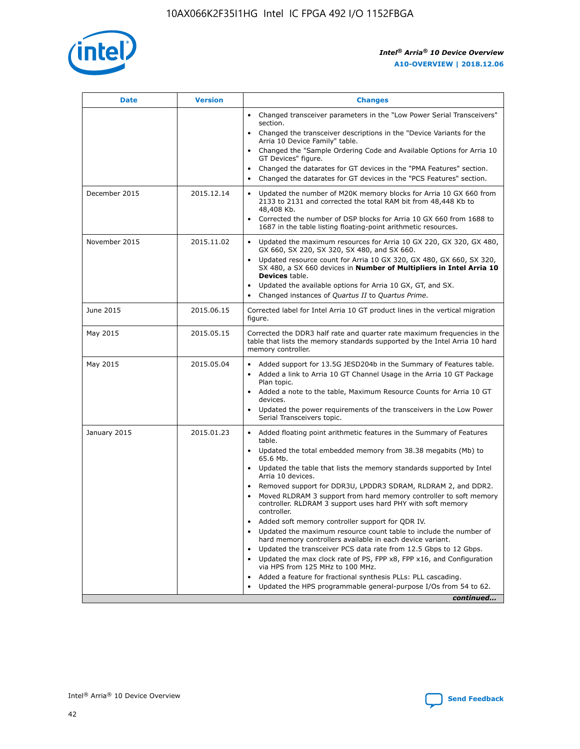

| <b>Date</b>   | <b>Version</b> | <b>Changes</b>                                                                                                                                                               |
|---------------|----------------|------------------------------------------------------------------------------------------------------------------------------------------------------------------------------|
|               |                | • Changed transceiver parameters in the "Low Power Serial Transceivers"<br>section.                                                                                          |
|               |                | • Changed the transceiver descriptions in the "Device Variants for the<br>Arria 10 Device Family" table.                                                                     |
|               |                | Changed the "Sample Ordering Code and Available Options for Arria 10<br>$\bullet$<br>GT Devices" figure.                                                                     |
|               |                | Changed the datarates for GT devices in the "PMA Features" section.                                                                                                          |
|               |                | Changed the datarates for GT devices in the "PCS Features" section.<br>$\bullet$                                                                                             |
| December 2015 | 2015.12.14     | Updated the number of M20K memory blocks for Arria 10 GX 660 from<br>2133 to 2131 and corrected the total RAM bit from 48,448 Kb to<br>48,408 Kb.                            |
|               |                | Corrected the number of DSP blocks for Arria 10 GX 660 from 1688 to<br>1687 in the table listing floating-point arithmetic resources.                                        |
| November 2015 | 2015.11.02     | Updated the maximum resources for Arria 10 GX 220, GX 320, GX 480,<br>$\bullet$<br>GX 660, SX 220, SX 320, SX 480, and SX 660.                                               |
|               |                | • Updated resource count for Arria 10 GX 320, GX 480, GX 660, SX 320,<br>SX 480, a SX 660 devices in Number of Multipliers in Intel Arria 10<br><b>Devices</b> table.        |
|               |                | Updated the available options for Arria 10 GX, GT, and SX.                                                                                                                   |
|               |                | Changed instances of Quartus II to Quartus Prime.<br>$\bullet$                                                                                                               |
| June 2015     | 2015.06.15     | Corrected label for Intel Arria 10 GT product lines in the vertical migration<br>figure.                                                                                     |
| May 2015      | 2015.05.15     | Corrected the DDR3 half rate and quarter rate maximum frequencies in the<br>table that lists the memory standards supported by the Intel Arria 10 hard<br>memory controller. |
| May 2015      | 2015.05.04     | • Added support for 13.5G JESD204b in the Summary of Features table.                                                                                                         |
|               |                | • Added a link to Arria 10 GT Channel Usage in the Arria 10 GT Package<br>Plan topic.                                                                                        |
|               |                | • Added a note to the table, Maximum Resource Counts for Arria 10 GT<br>devices.                                                                                             |
|               |                | • Updated the power requirements of the transceivers in the Low Power<br>Serial Transceivers topic.                                                                          |
| January 2015  | 2015.01.23     | • Added floating point arithmetic features in the Summary of Features<br>table.                                                                                              |
|               |                | • Updated the total embedded memory from 38.38 megabits (Mb) to<br>65.6 Mb.                                                                                                  |
|               |                | • Updated the table that lists the memory standards supported by Intel<br>Arria 10 devices.                                                                                  |
|               |                | Removed support for DDR3U, LPDDR3 SDRAM, RLDRAM 2, and DDR2.                                                                                                                 |
|               |                | Moved RLDRAM 3 support from hard memory controller to soft memory<br>controller. RLDRAM 3 support uses hard PHY with soft memory<br>controller.                              |
|               |                | Added soft memory controller support for QDR IV.<br>٠                                                                                                                        |
|               |                | Updated the maximum resource count table to include the number of<br>hard memory controllers available in each device variant.                                               |
|               |                | Updated the transceiver PCS data rate from 12.5 Gbps to 12 Gbps.<br>$\bullet$                                                                                                |
|               |                | Updated the max clock rate of PS, FPP x8, FPP x16, and Configuration<br>via HPS from 125 MHz to 100 MHz.                                                                     |
|               |                | Added a feature for fractional synthesis PLLs: PLL cascading.                                                                                                                |
|               |                | Updated the HPS programmable general-purpose I/Os from 54 to 62.<br>$\bullet$                                                                                                |
|               |                | continued                                                                                                                                                                    |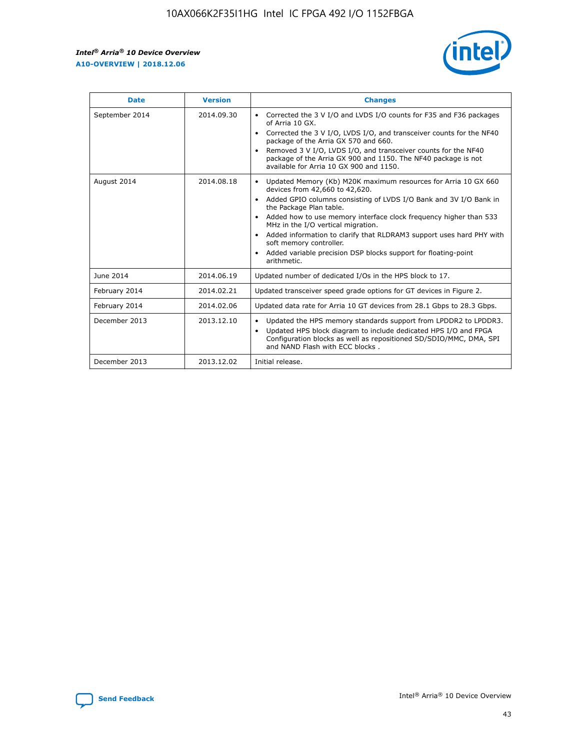$\mathsf{r}$ 



| <b>Date</b>    | <b>Version</b> | <b>Changes</b>                                                                                                                                                                                                                                                                                                                                                                                                                                                                                                                         |
|----------------|----------------|----------------------------------------------------------------------------------------------------------------------------------------------------------------------------------------------------------------------------------------------------------------------------------------------------------------------------------------------------------------------------------------------------------------------------------------------------------------------------------------------------------------------------------------|
| September 2014 | 2014.09.30     | Corrected the 3 V I/O and LVDS I/O counts for F35 and F36 packages<br>of Arria 10 GX.<br>Corrected the 3 V I/O, LVDS I/O, and transceiver counts for the NF40<br>package of the Arria GX 570 and 660.<br>Removed 3 V I/O, LVDS I/O, and transceiver counts for the NF40<br>package of the Arria GX 900 and 1150. The NF40 package is not<br>available for Arria 10 GX 900 and 1150.                                                                                                                                                    |
| August 2014    | 2014.08.18     | Updated Memory (Kb) M20K maximum resources for Arria 10 GX 660<br>devices from 42,660 to 42,620.<br>Added GPIO columns consisting of LVDS I/O Bank and 3V I/O Bank in<br>$\bullet$<br>the Package Plan table.<br>Added how to use memory interface clock frequency higher than 533<br>$\bullet$<br>MHz in the I/O vertical migration.<br>Added information to clarify that RLDRAM3 support uses hard PHY with<br>$\bullet$<br>soft memory controller.<br>Added variable precision DSP blocks support for floating-point<br>arithmetic. |
| June 2014      | 2014.06.19     | Updated number of dedicated I/Os in the HPS block to 17.                                                                                                                                                                                                                                                                                                                                                                                                                                                                               |
| February 2014  | 2014.02.21     | Updated transceiver speed grade options for GT devices in Figure 2.                                                                                                                                                                                                                                                                                                                                                                                                                                                                    |
| February 2014  | 2014.02.06     | Updated data rate for Arria 10 GT devices from 28.1 Gbps to 28.3 Gbps.                                                                                                                                                                                                                                                                                                                                                                                                                                                                 |
| December 2013  | 2013.12.10     | Updated the HPS memory standards support from LPDDR2 to LPDDR3.<br>Updated HPS block diagram to include dedicated HPS I/O and FPGA<br>$\bullet$<br>Configuration blocks as well as repositioned SD/SDIO/MMC, DMA, SPI<br>and NAND Flash with ECC blocks.                                                                                                                                                                                                                                                                               |
| December 2013  | 2013.12.02     | Initial release.                                                                                                                                                                                                                                                                                                                                                                                                                                                                                                                       |